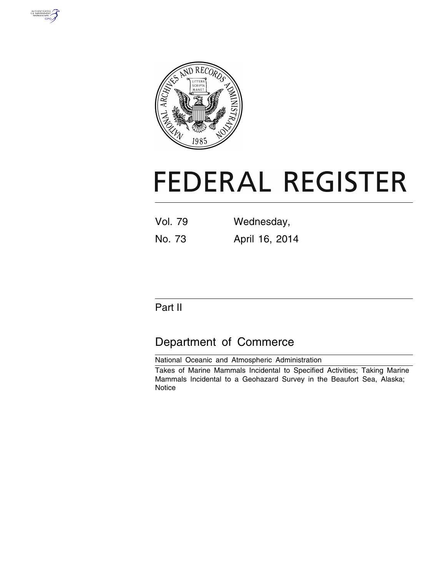



# **FEDERAL REGISTER**

| <b>Vol. 79</b> | Wednesday,     |  |  |  |
|----------------|----------------|--|--|--|
| No. 73         | April 16, 2014 |  |  |  |

# Part II

# Department of Commerce

National Oceanic and Atmospheric Administration

Takes of Marine Mammals Incidental to Specified Activities; Taking Marine Mammals Incidental to a Geohazard Survey in the Beaufort Sea, Alaska; **Notice**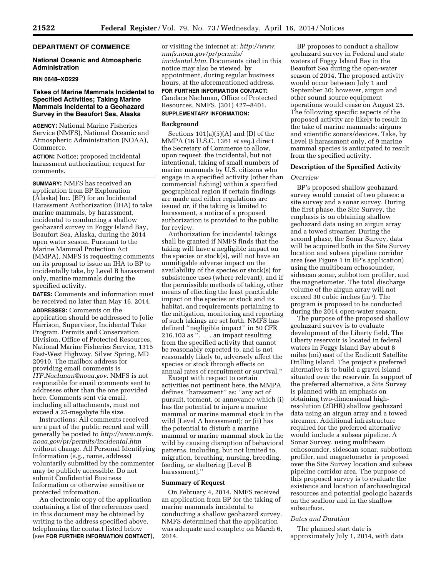# **DEPARTMENT OF COMMERCE**

#### **National Oceanic and Atmospheric Administration**

# **RIN 0648–XD229**

# **Takes of Marine Mammals Incidental to Specified Activities; Taking Marine Mammals Incidental to a Geohazard Survey in the Beaufort Sea, Alaska**

**AGENCY:** National Marine Fisheries Service (NMFS), National Oceanic and Atmospheric Administration (NOAA), Commerce.

**ACTION:** Notice; proposed incidental harassment authorization; request for comments.

**SUMMARY:** NMFS has received an application from BP Exploration (Alaska) Inc. (BP) for an Incidental Harassment Authorization (IHA) to take marine mammals, by harassment, incidental to conducting a shallow geohazard survey in Foggy Island Bay, Beaufort Sea, Alaska, during the 2014 open water season. Pursuant to the Marine Mammal Protection Act (MMPA), NMFS is requesting comments on its proposal to issue an IHA to BP to incidentally take, by Level B harassment only, marine mammals during the specified activity.

**DATES:** Comments and information must be received no later than May 16, 2014.

**ADDRESSES:** Comments on the application should be addressed to Jolie Harrison, Supervisor, Incidental Take Program, Permits and Conservation Division, Office of Protected Resources, National Marine Fisheries Service, 1315 East-West Highway, Silver Spring, MD 20910. The mailbox address for providing email comments is *[ITP.Nachman@noaa.gov.](mailto:ITP.Nachman@noaa.gov)* NMFS is not responsible for email comments sent to addresses other than the one provided here. Comments sent via email, including all attachments, must not exceed a 25-megabyte file size.

Instructions: All comments received are a part of the public record and will generally be posted to *[http://www.nmfs.](http://www.nmfs.noaa.gov/pr/permits/incidental.htm) [noaa.gov/pr/permits/incidental.htm](http://www.nmfs.noaa.gov/pr/permits/incidental.htm)*  without change. All Personal Identifying Information (e.g., name, address) voluntarily submitted by the commenter may be publicly accessible. Do not submit Confidential Business Information or otherwise sensitive or protected information.

An electronic copy of the application containing a list of the references used in this document may be obtained by writing to the address specified above, telephoning the contact listed below (see **FOR FURTHER INFORMATION CONTACT**), or visiting the internet at: *[http://www.](http://www.nmfs.noaa.gov/pr/permits/incidental.htm) [nmfs.noaa.gov/pr/permits/](http://www.nmfs.noaa.gov/pr/permits/incidental.htm) [incidental.htm.](http://www.nmfs.noaa.gov/pr/permits/incidental.htm)* Documents cited in this notice may also be viewed, by appointment, during regular business hours, at the aforementioned address.

**FOR FURTHER INFORMATION CONTACT:**  Candace Nachman, Office of Protected Resources, NMFS, (301) 427–8401. **SUPPLEMENTARY INFORMATION:** 

#### **Background**

Sections  $101(a)(5)(A)$  and  $(D)$  of the MMPA (16 U.S.C. 1361 *et seq.*) direct the Secretary of Commerce to allow, upon request, the incidental, but not intentional, taking of small numbers of marine mammals by U.S. citizens who engage in a specified activity (other than commercial fishing) within a specified geographical region if certain findings are made and either regulations are issued or, if the taking is limited to harassment, a notice of a proposed authorization is provided to the public for review.

Authorization for incidental takings shall be granted if NMFS finds that the taking will have a negligible impact on the species or stock(s), will not have an unmitigable adverse impact on the availability of the species or stock(s) for subsistence uses (where relevant), and if the permissible methods of taking, other means of effecting the least practicable impact on the species or stock and its habitat, and requirements pertaining to the mitigation, monitoring and reporting of such takings are set forth. NMFS has defined ''negligible impact'' in 50 CFR 216.103 as ''. . . an impact resulting from the specified activity that cannot be reasonably expected to, and is not reasonably likely to, adversely affect the species or stock through effects on annual rates of recruitment or survival.''

Except with respect to certain activities not pertinent here, the MMPA defines ''harassment'' as: ''any act of pursuit, torment, or annoyance which (i) has the potential to injure a marine mammal or marine mammal stock in the wild [Level A harassment]; or (ii) has the potential to disturb a marine mammal or marine mammal stock in the wild by causing disruption of behavioral patterns, including, but not limited to, migration, breathing, nursing, breeding, feeding, or sheltering [Level B harassment].''

#### **Summary of Request**

On February 4, 2014, NMFS received an application from BP for the taking of marine mammals incidental to conducting a shallow geohazard survey. NMFS determined that the application was adequate and complete on March 6, 2014.

BP proposes to conduct a shallow geohazard survey in Federal and state waters of Foggy Island Bay in the Beaufort Sea during the open-water season of 2014. The proposed activity would occur between July 1 and September 30; however, airgun and other sound source equipment operations would cease on August 25. The following specific aspects of the proposed activity are likely to result in the take of marine mammals: airguns and scientific sonars/devices. Take, by Level B harassment only, of 9 marine mammal species is anticipated to result from the specified activity.

# **Description of the Specified Activity**

#### *Overview*

BP's proposed shallow geohazard survey would consist of two phases: a site survey and a sonar survey. During the first phase, the Site Survey, the emphasis is on obtaining shallow geohazard data using an airgun array and a towed streamer. During the second phase, the Sonar Survey, data will be acquired both in the Site Survey location and subsea pipeline corridor area (see Figure 1 in BP's application) using the multibeam echosounder, sidescan sonar, subbottom profiler, and the magnetometer. The total discharge volume of the airgun array will not exceed 30 cubic inches (in3). The program is proposed to be conducted during the 2014 open-water season.

The purpose of the proposed shallow geohazard survey is to evaluate development of the Liberty field. The Liberty reservoir is located in federal waters in Foggy Island Bay about 8 miles (mi) east of the Endicott Satellite Drilling Island. The project's preferred alternative is to build a gravel island situated over the reservoir. In support of the preferred alternative, a Site Survey is planned with an emphasis on obtaining two-dimensional highresolution (2DHR) shallow geohazard data using an airgun array and a towed streamer. Additional infrastructure required for the preferred alternative would include a subsea pipeline. A Sonar Survey, using multibeam echosounder, sidescan sonar, subbottom profiler, and magnetometer is proposed over the Site Survey location and subsea pipeline corridor area. The purpose of this proposed survey is to evaluate the existence and location of archaeological resources and potential geologic hazards on the seafloor and in the shallow subsurface.

#### *Dates and Duration*

The planned start date is approximately July 1, 2014, with data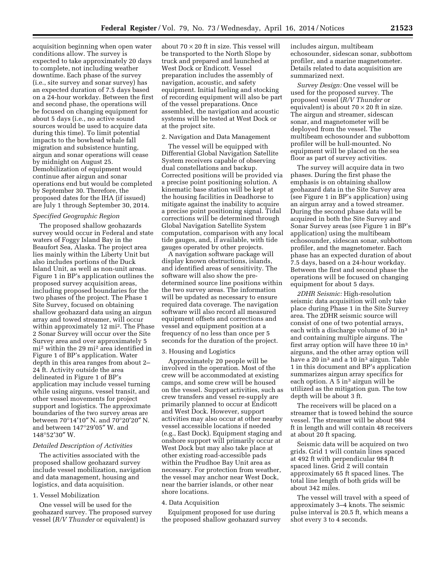acquisition beginning when open water conditions allow. The survey is expected to take approximately 20 days to complete, not including weather downtime. Each phase of the survey (i.e., site survey and sonar survey) has an expected duration of 7.5 days based on a 24-hour workday. Between the first and second phase, the operations will be focused on changing equipment for about 5 days (i.e., no active sound sources would be used to acquire data during this time). To limit potential impacts to the bowhead whale fall migration and subsistence hunting, airgun and sonar operations will cease by midnight on August 25. Demobilization of equipment would continue after airgun and sonar operations end but would be completed by September 30. Therefore, the proposed dates for the IHA (if issued) are July 1 through September 30, 2014.

# *Specified Geographic Region*

The proposed shallow geohazards survey would occur in Federal and state waters of Foggy Island Bay in the Beaufort Sea, Alaska. The project area lies mainly within the Liberty Unit but also includes portions of the Duck Island Unit, as well as non-unit areas. Figure 1 in BP's application outlines the proposed survey acquisition areas, including proposed boundaries for the two phases of the project. The Phase 1 Site Survey, focused on obtaining shallow geohazard data using an airgun array and towed streamer, will occur within approximately 12 mi<sup>2</sup>. The Phase 2 Sonar Survey will occur over the Site Survey area and over approximately 5 mi2 within the 29 mi2 area identified in Figure 1 of BP's application. Water depth in this area ranges from about 2– 24 ft. Activity outside the area delineated in Figure 1 of BP's application may include vessel turning while using airguns, vessel transit, and other vessel movements for project support and logistics. The approximate boundaries of the two survey areas are between 70°14′10″ N. and 70°20′20″ N. and between 147°29′05″ W. and 148°52′30″ W.

#### *Detailed Description of Activities*

The activities associated with the proposed shallow geohazard survey include vessel mobilization, navigation and data management, housing and logistics, and data acquisition.

# 1. Vessel Mobilization

One vessel will be used for the geohazard survey. The proposed survey vessel (*R/V Thunder* or equivalent) is

about  $70 \times 20$  ft in size. This vessel will be transported to the North Slope by truck and prepared and launched at West Dock or Endicott. Vessel preparation includes the assembly of navigation, acoustic, and safety equipment. Initial fueling and stocking of recording equipment will also be part of the vessel preparations. Once assembled, the navigation and acoustic systems will be tested at West Dock or at the project site.

# 2. Navigation and Data Management

The vessel will be equipped with Differential Global Navigation Satellite System receivers capable of observing dual constellations and backup. Corrected positions will be provided via a precise point positioning solution. A kinematic base station will be kept at the housing facilities in Deadhorse to mitigate against the inability to acquire a precise point positioning signal. Tidal corrections will be determined through Global Navigation Satellite System computation, comparison with any local tide gauges, and, if available, with tide gauges operated by other projects.

A navigation software package will display known obstructions, islands, and identified areas of sensitivity. The software will also show the predetermined source line positions within the two survey areas. The information will be updated as necessary to ensure required data coverage. The navigation software will also record all measured equipment offsets and corrections and vessel and equipment position at a frequency of no less than once per 5 seconds for the duration of the project.

# 3. Housing and Logistics

Approximately 20 people will be involved in the operation. Most of the crew will be accommodated at existing camps, and some crew will be housed on the vessel. Support activities, such as crew transfers and vessel re-supply are primarily planned to occur at Endicott and West Dock. However, support activities may also occur at other nearby vessel accessible locations if needed (e.g., East Dock). Equipment staging and onshore support will primarily occur at West Dock but may also take place at other existing road-accessible pads within the Prudhoe Bay Unit area as necessary. For protection from weather, the vessel may anchor near West Dock, near the barrier islands, or other near shore locations.

#### 4. Data Acquisition

Equipment proposed for use during the proposed shallow geohazard survey includes airgun, multibeam echosounder, sidescan sonar, subbottom profiler, and a marine magnetometer. Details related to data acquisition are summarized next.

*Survey Design:* One vessel will be used for the proposed survey. The proposed vessel (*R/V Thunder* or equivalent) is about  $70 \times 20$  ft in size. The airgun and streamer, sidescan sonar, and magnetometer will be deployed from the vessel. The multibeam echosounder and subbottom profiler will be hull-mounted. No equipment will be placed on the sea floor as part of survey activities.

The survey will acquire data in two phases. During the first phase the emphasis is on obtaining shallow geohazard data in the Site Survey area (see Figure 1 in BP's application) using an airgun array and a towed streamer. During the second phase data will be acquired in both the Site Survey and Sonar Survey areas (see Figure 1 in BP's application) using the multibeam echosounder, sidescan sonar, subbottom profiler, and the magnetometer. Each phase has an expected duration of about 7.5 days, based on a 24-hour workday. Between the first and second phase the operations will be focused on changing equipment for about 5 days.

*2DHR Seismic:* High-resolution seismic data acquisition will only take place during Phase 1 in the Site Survey area. The 2DHR seismic source will consist of one of two potential arrays, each with a discharge volume of 30 in3 and containing multiple airguns. The first array option will have three 10 in3 airguns, and the other array option will have a 20 in3 and a 10 in3 airgun. Table 1 in this document and BP's application summarizes airgun array specifics for each option. A 5 in<sup>3</sup> airgun will be utilized as the mitigation gun. The tow depth will be about 3 ft.

The receivers will be placed on a streamer that is towed behind the source vessel. The streamer will be about 984 ft in length and will contain 48 receivers at about 20 ft spacing.

Seismic data will be acquired on two grids. Grid 1 will contain lines spaced at 492 ft with perpendicular 984 ft spaced lines. Grid 2 will contain approximately 65 ft spaced lines. The total line length of both grids will be about 342 miles.

The vessel will travel with a speed of approximately 3–4 knots. The seismic pulse interval is 20.5 ft, which means a shot every 3 to 4 seconds.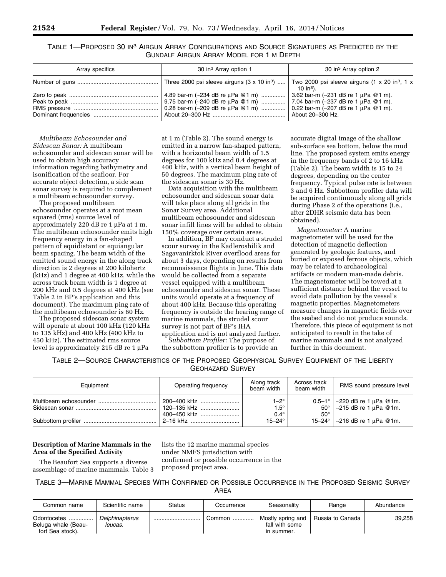TABLE 1—PROPOSED 30 IN3 AIRGUN ARRAY CONFIGURATIONS AND SOURCE SIGNATURES AS PREDICTED BY THE GUNDALF AIRGUN ARRAY MODEL FOR 1 M DEPTH

| Array specifics | 30 in <sup>3</sup> Array option 1                                                                                                                    | 30 in <sup>3</sup> Array option 2                                                  |
|-----------------|------------------------------------------------------------------------------------------------------------------------------------------------------|------------------------------------------------------------------------------------|
|                 |                                                                                                                                                      | Two 2000 psi sleeve airguns (1 x 20 in <sup>3</sup> , 1 x<br>10 in <sup>3</sup> ). |
|                 | 4.89 bar-m (~234 dB re µPa @1 m)    3.62 bar-m (~231 dB re 1 µPa @1 m).<br>  0.28 bar-m (~209 dB re μPa @1 m)    0.22 bar-m (~207 dB re 1 μPa @1 m). |                                                                                    |
|                 |                                                                                                                                                      | About 20-300 Hz.                                                                   |

*Multibeam Echosounder and Sidescan Sonar:* A multibeam echosounder and sidescan sonar will be used to obtain high accuracy information regarding bathymetry and isonification of the seafloor. For accurate object detection, a side scan sonar survey is required to complement a multibeam echosounder survey.

The proposed multibeam echosounder operates at a root mean squared (rms) source level of approximately 220 dB re  $1 \mu$ Pa at  $1 \text{ m}$ . The multibeam echosounder emits high frequency energy in a fan-shaped pattern of equidistant or equiangular beam spacing. The beam width of the emitted sound energy in the along track direction is 2 degrees at 200 kilohertz (kHz) and 1 degree at 400 kHz, while the across track beam width is 1 degree at 200 kHz and 0.5 degrees at 400 kHz (see Table 2 in BP's application and this document). The maximum ping rate of the multibeam echosounder is 60 Hz.

The proposed sidescan sonar system will operate at about 100 kHz (120 kHz to 135 kHz) and 400 kHz (400 kHz to 450 kHz). The estimated rms source level is approximately 215 dB re  $1 \mu$ Pa

at 1 m (Table 2). The sound energy is emitted in a narrow fan-shaped pattern, with a horizontal beam width of 1.5 degrees for 100 kHz and 0.4 degrees at 400 kHz, with a vertical beam height of 50 degrees. The maximum ping rate of the sidescan sonar is 30 Hz.

Data acquisition with the multibeam echosounder and sidescan sonar data will take place along all grids in the Sonar Survey area. Additional multibeam echosounder and sidescan sonar infill lines will be added to obtain 150% coverage over certain areas.

In addition, BP may conduct a strudel scour survey in the Kadleroshilik and Sagavanirktok River overflood areas for about 3 days, depending on results from reconnaissance flights in June. This data would be collected from a separate vessel equipped with a multibeam echosounder and sidescan sonar. These units would operate at a frequency of about 400 kHz. Because this operating frequency is outside the hearing range of marine mammals, the strudel scour survey is not part of BP's IHA application and is not analyzed further.

*Subbottom Profiler:* The purpose of the subbottom profiler is to provide an accurate digital image of the shallow sub-surface sea bottom, below the mud line. The proposed system emits energy in the frequency bands of 2 to 16 kHz (Table 2). The beam width is 15 to 24 degrees, depending on the center frequency. Typical pulse rate is between 3 and 6 Hz. Subbottom profiler data will be acquired continuously along all grids during Phase 2 of the operations (i.e., after 2DHR seismic data has been obtained).

*Magnetometer:* A marine magnetometer will be used for the detection of magnetic deflection generated by geologic features, and buried or exposed ferrous objects, which may be related to archaeological artifacts or modern man-made debris. The magnetometer will be towed at a sufficient distance behind the vessel to avoid data pollution by the vessel's magnetic properties. Magnetometers measure changes in magnetic fields over the seabed and do not produce sounds. Therefore, this piece of equipment is not anticipated to result in the take of marine mammals and is not analyzed further in this document.

TABLE 2—SOURCE CHARACTERISTICS OF THE PROPOSED GEOPHYSICAL SURVEY EQUIPMENT OF THE LIBERTY GEOHAZARD SURVEY

| Equipment | Operating frequency | Along track<br>beam width | Across track<br>beam width | RMS sound pressure level                       |
|-----------|---------------------|---------------------------|----------------------------|------------------------------------------------|
|           | 200-400 kHz         | $1-2^\circ$               | $0.5 - 1^{\circ}$          | $\sim$ 220 dB re 1 µPa @1m.                    |
|           | 120–135 kHz         | $1.5^\circ$               |                            | $50^{\circ}$ $\sim$ 215 dB re 1 $\mu$ Pa @ 1m. |
|           | 400–450 kHz         | $0.4^\circ$               | $50^\circ$                 |                                                |
|           |                     | $15 - 24^{\circ}$         |                            | 15-24° $\sim$ 216 dB re 1 µPa @ 1m.            |

# **Description of Marine Mammals in the Area of the Specified Activity**

The Beaufort Sea supports a diverse assemblage of marine mammals. Table 3 lists the 12 marine mammal species under NMFS jurisdiction with confirmed or possible occurrence in the proposed project area.

TABLE 3—MARINE MAMMAL SPECIES WITH CONFIRMED OR POSSIBLE OCCURRENCE IN THE PROPOSED SEISMIC SURVEY AREA

| Common name                                            | Scientific name           | Status | Occurrence | Seasonalitv                                       | Range            | Abundance |
|--------------------------------------------------------|---------------------------|--------|------------|---------------------------------------------------|------------------|-----------|
| Odontocetes<br>Beluga whale (Beau-<br>fort Sea stock). | Delphinapterus<br>leucas. |        | Common     | Mostly spring and<br>fall with some<br>in summer. | Russia to Canada | 39.258    |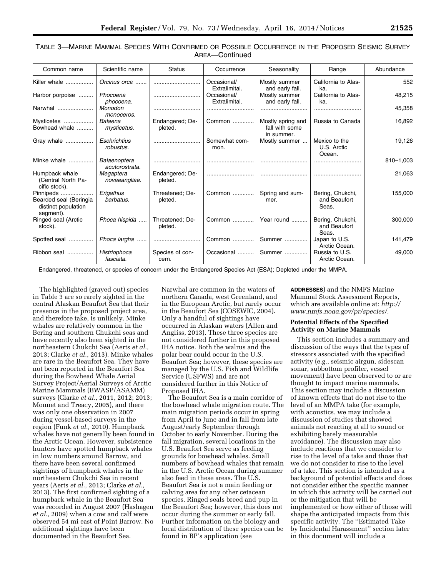# TABLE 3—MARINE MAMMAL SPECIES WITH CONFIRMED OR POSSIBLE OCCURRENCE IN THE PROPOSED SEISMIC SURVEY AREA—Continued

| Common name                                                             | Scientific name                | <b>Status</b>              | Occurrence                   | Seasonality                                       | Range                                     | Abundance |
|-------------------------------------------------------------------------|--------------------------------|----------------------------|------------------------------|---------------------------------------------------|-------------------------------------------|-----------|
| Killer whale                                                            | Orcinus orca                   |                            | Occasional/<br>Extralimital. | Mostly summer<br>and early fall.                  | California to Alas-<br>ka.                | 552       |
| Harbor porpoise                                                         | Phocoena<br>phocoena.          |                            | Occasional/<br>Extralimital. | Mostly summer<br>and early fall.                  | California to Alas-<br>ka.                | 48,215    |
| Narwhal                                                                 | Monodon<br>monoceros.          |                            |                              |                                                   |                                           | 45,358    |
| Mysticetes<br>Bowhead whale                                             | Balaena<br>mysticetus.         | Endangered; De-<br>pleted. | Common                       | Mostly spring and<br>fall with some<br>in summer. | Russia to Canada                          | 16,892    |
| Gray whale                                                              | Eschrichtius<br>robustus.      |                            | Somewhat com-<br>mon.        | Mostly summer                                     | Mexico to the<br>U.S. Arctic<br>Ocean.    | 19,126    |
| Minke whale                                                             | Balaenoptera<br>acutorostrata. |                            |                              |                                                   |                                           | 810-1,003 |
| Humpback whale<br>(Central North Pa-<br>cific stock).                   | Megaptera<br>novaeangliae.     | Endangered; De-<br>pleted. |                              |                                                   |                                           | 21,063    |
| Pinnipeds<br>Bearded seal (Beringia<br>distinct population<br>segment). | Erigathus<br>barbatus.         | Threatened; De-<br>pleted. | Common                       | Spring and sum-<br>mer.                           | Bering, Chukchi,<br>and Beaufort<br>Seas. | 155,000   |
| Ringed seal (Arctic<br>stock).                                          | Phoca hispida                  | Threatened; De-<br>pleted. | Common                       | Year round                                        | Bering, Chukchi,<br>and Beaufort<br>Seas. | 300,000   |
| Spotted seal                                                            | Phoca largha                   |                            | Common                       | Summer                                            | Japan to U.S.<br>Arctic Ocean.            | 141,479   |
| Ribbon seal                                                             | Histriophoca<br>fasciata.      | Species of con-<br>cern.   | Occasional                   | Summer                                            | Russia to U.S.<br>Arctic Ocean.           | 49,000    |

Endangered, threatened, or species of concern under the Endangered Species Act (ESA); Depleted under the MMPA.

The highlighted (grayed out) species in Table 3 are so rarely sighted in the central Alaskan Beaufort Sea that their presence in the proposed project area, and therefore take, is unlikely. Minke whales are relatively common in the Bering and southern Chukchi seas and have recently also been sighted in the northeastern Chukchi Sea (Aerts *et al.,*  2013; Clarke *et al.,* 2013). Minke whales are rare in the Beaufort Sea. They have not been reported in the Beaufort Sea during the Bowhead Whale Aerial Survey Project/Aerial Surveys of Arctic Marine Mammals (BWASP/ASAMM) surveys (Clarke *et al.,* 2011, 2012; 2013; Monnet and Treacy, 2005), and there was only one observation in 2007 during vessel-based surveys in the region (Funk *et al.,* 2010). Humpback whales have not generally been found in the Arctic Ocean. However, subsistence hunters have spotted humpback whales in low numbers around Barrow, and there have been several confirmed sightings of humpback whales in the northeastern Chukchi Sea in recent years (Aerts *et al.,* 2013; Clarke *et al.,*  2013). The first confirmed sighting of a humpback whale in the Beaufort Sea was recorded in August 2007 (Hashagen *et al.,* 2009) when a cow and calf were observed 54 mi east of Point Barrow. No additional sightings have been documented in the Beaufort Sea.

Narwhal are common in the waters of northern Canada, west Greenland, and in the European Arctic, but rarely occur in the Beaufort Sea (COSEWIC, 2004). Only a handful of sightings have occurred in Alaskan waters (Allen and Angliss, 2013). These three species are not considered further in this proposed IHA notice. Both the walrus and the polar bear could occur in the U.S. Beaufort Sea; however, these species are managed by the U.S. Fish and Wildlife Service (USFWS) and are not considered further in this Notice of Proposed IHA.

The Beaufort Sea is a main corridor of the bowhead whale migration route. The main migration periods occur in spring from April to June and in fall from late August/early September through October to early November. During the fall migration, several locations in the U.S. Beaufort Sea serve as feeding grounds for bowhead whales. Small numbers of bowhead whales that remain in the U.S. Arctic Ocean during summer also feed in these areas. The U.S. Beaufort Sea is not a main feeding or calving area for any other cetacean species. Ringed seals breed and pup in the Beaufort Sea; however, this does not occur during the summer or early fall. Further information on the biology and local distribution of these species can be found in BP's application (see

**ADDRESSES**) and the NMFS Marine Mammal Stock Assessment Reports, which are available online at: *[http://](http://www.nmfs.noaa.gov/pr/species/)  [www.nmfs.noaa.gov/pr/species/.](http://www.nmfs.noaa.gov/pr/species/)* 

#### **Potential Effects of the Specified Activity on Marine Mammals**

This section includes a summary and discussion of the ways that the types of stressors associated with the specified activity (e.g., seismic airgun, sidescan sonar, subbottom profiler, vessel movement) have been observed to or are thought to impact marine mammals. This section may include a discussion of known effects that do not rise to the level of an MMPA take (for example, with acoustics, we may include a discussion of studies that showed animals not reacting at all to sound or exhibiting barely measurable avoidance). The discussion may also include reactions that we consider to rise to the level of a take and those that we do not consider to rise to the level of a take. This section is intended as a background of potential effects and does not consider either the specific manner in which this activity will be carried out or the mitigation that will be implemented or how either of those will shape the anticipated impacts from this specific activity. The ''Estimated Take by Incidental Harassment'' section later in this document will include a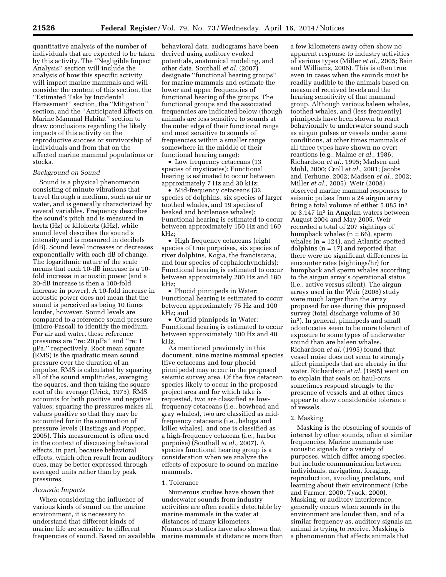quantitative analysis of the number of individuals that are expected to be taken by this activity. The ''Negligible Impact Analysis'' section will include the analysis of how this specific activity will impact marine mammals and will consider the content of this section, the ''Estimated Take by Incidental Harassment'' section, the ''Mitigation'' section, and the ''Anticipated Effects on Marine Mammal Habitat'' section to draw conclusions regarding the likely impacts of this activity on the reproductive success or survivorship of individuals and from that on the affected marine mammal populations or stocks.

#### *Background on Sound*

Sound is a physical phenomenon consisting of minute vibrations that travel through a medium, such as air or water, and is generally characterized by several variables. Frequency describes the sound's pitch and is measured in hertz (Hz) or kilohertz (kHz), while sound level describes the sound's intensity and is measured in decibels (dB). Sound level increases or decreases exponentially with each dB of change. The logarithmic nature of the scale means that each 10-dB increase is a 10 fold increase in acoustic power (and a 20-dB increase is then a 100-fold increase in power). A 10-fold increase in acoustic power does not mean that the sound is perceived as being 10 times louder, however. Sound levels are compared to a reference sound pressure (micro-Pascal) to identify the medium. For air and water, these reference pressures are "re: 20 µPa" and "re: 1 mPa,'' respectively. Root mean square (RMS) is the quadratic mean sound pressure over the duration of an impulse. RMS is calculated by squaring all of the sound amplitudes, averaging the squares, and then taking the square root of the average (Urick, 1975). RMS accounts for both positive and negative values; squaring the pressures makes all values positive so that they may be accounted for in the summation of pressure levels (Hastings and Popper, 2005). This measurement is often used in the context of discussing behavioral effects, in part, because behavioral effects, which often result from auditory cues, may be better expressed through averaged units rather than by peak pressures.

#### *Acoustic Impacts*

When considering the influence of various kinds of sound on the marine environment, it is necessary to understand that different kinds of marine life are sensitive to different frequencies of sound. Based on available

behavioral data, audiograms have been derived using auditory evoked potentials, anatomical modeling, and other data, Southall *et al.* (2007) designate ''functional hearing groups'' for marine mammals and estimate the lower and upper frequencies of functional hearing of the groups. The functional groups and the associated frequencies are indicated below (though animals are less sensitive to sounds at the outer edge of their functional range and most sensitive to sounds of frequencies within a smaller range somewhere in the middle of their functional hearing range):

• Low frequency cetaceans (13) species of mysticetes): Functional hearing is estimated to occur between approximately 7 Hz and 30 kHz;

• Mid-frequency cetaceans (32) species of dolphins, six species of larger toothed whales, and 19 species of beaked and bottlenose whales): Functional hearing is estimated to occur between approximately 150 Hz and 160 kHz;

• High frequency cetaceans (eight species of true porpoises, six species of river dolphins, Kogia, the franciscana, and four species of cephalorhynchids): Functional hearing is estimated to occur between approximately 200 Hz and 180 kHz;

• Phocid pinnipeds in Water: Functional hearing is estimated to occur between approximately 75 Hz and 100 kHz; and

• Otariid pinnipeds in Water: Functional hearing is estimated to occur between approximately 100 Hz and 40 kHz.

As mentioned previously in this document, nine marine mammal species (five cetaceans and four phocid pinnipeds) may occur in the proposed seismic survey area. Of the five cetacean species likely to occur in the proposed project area and for which take is requested, two are classified as lowfrequency cetaceans (i.e., bowhead and gray whales), two are classified as midfrequency cetaceans (i.e., beluga and killer whales), and one is classified as a high-frequency cetacean (i.e., harbor porpoise) (Southall *et al.,* 2007). A species functional hearing group is a consideration when we analyze the effects of exposure to sound on marine mammals.

#### 1. Tolerance

Numerous studies have shown that underwater sounds from industry activities are often readily detectable by marine mammals in the water at distances of many kilometers. Numerous studies have also shown that marine mammals at distances more than

a few kilometers away often show no apparent response to industry activities of various types (Miller *et al.,* 2005; Bain and Williams, 2006). This is often true even in cases when the sounds must be readily audible to the animals based on measured received levels and the hearing sensitivity of that mammal group. Although various baleen whales, toothed whales, and (less frequently) pinnipeds have been shown to react behaviorally to underwater sound such as airgun pulses or vessels under some conditions, at other times mammals of all three types have shown no overt reactions (e.g., Malme *et al.,* 1986; Richardson *et al.,* 1995; Madsen and Mohl, 2000; Croll *et al.,* 2001; Jacobs and Terhune, 2002; Madsen *et al.,* 2002; Miller *et al.,* 2005). Weir (2008) observed marine mammal responses to seismic pulses from a 24 airgun array firing a total volume of either 5,085 in3 or 3,147 in<sup>3</sup> in Angolan waters between August 2004 and May 2005. Weir recorded a total of 207 sightings of humpback whales  $(n = 66)$ , sperm whales (n = 124), and Atlantic spotted dolphins  $(n = 17)$  and reported that there were no significant differences in encounter rates (sightings/hr) for humpback and sperm whales according to the airgun array's operational status (i.e., active versus silent). The airgun arrays used in the Weir (2008) study were much larger than the array proposed for use during this proposed survey (total discharge volume of 30 in3). In general, pinnipeds and small odontocetes seem to be more tolerant of exposure to some types of underwater sound than are baleen whales. Richardson *et al.* (1995) found that vessel noise does not seem to strongly affect pinnipeds that are already in the water. Richardson *et al.* (1995) went on to explain that seals on haul-outs sometimes respond strongly to the presence of vessels and at other times appear to show considerable tolerance of vessels.

#### 2. Masking

Masking is the obscuring of sounds of interest by other sounds, often at similar frequencies. Marine mammals use acoustic signals for a variety of purposes, which differ among species, but include communication between individuals, navigation, foraging, reproduction, avoiding predators, and learning about their environment (Erbe and Farmer, 2000; Tyack, 2000). Masking, or auditory interference, generally occurs when sounds in the environment are louder than, and of a similar frequency as, auditory signals an animal is trying to receive. Masking is a phenomenon that affects animals that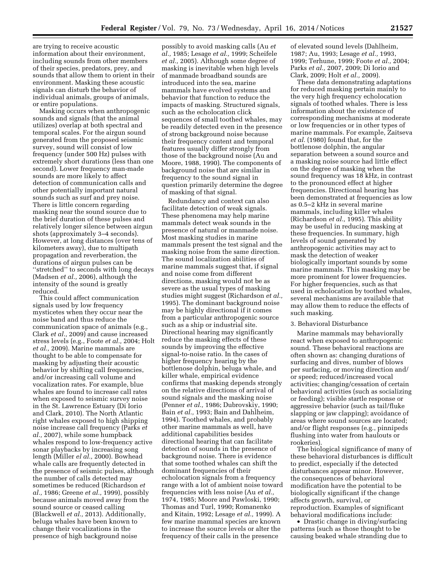are trying to receive acoustic information about their environment, including sounds from other members of their species, predators, prey, and sounds that allow them to orient in their environment. Masking these acoustic signals can disturb the behavior of individual animals, groups of animals, or entire populations.

Masking occurs when anthropogenic sounds and signals (that the animal utilizes) overlap at both spectral and temporal scales. For the airgun sound generated from the proposed seismic survey, sound will consist of low frequency (under 500 Hz) pulses with extremely short durations (less than one second). Lower frequency man-made sounds are more likely to affect detection of communication calls and other potentially important natural sounds such as surf and prey noise. There is little concern regarding masking near the sound source due to the brief duration of these pulses and relatively longer silence between airgun shots (approximately 3–4 seconds). However, at long distances (over tens of kilometers away), due to multipath propagation and reverberation, the durations of airgun pulses can be ''stretched'' to seconds with long decays (Madsen *et al.,* 2006), although the intensity of the sound is greatly reduced.

This could affect communication signals used by low frequency mysticetes when they occur near the noise band and thus reduce the communication space of animals (e.g., Clark *et al.,* 2009) and cause increased stress levels (e.g., Foote *et al.,* 2004; Holt *et al.,* 2009). Marine mammals are thought to be able to compensate for masking by adjusting their acoustic behavior by shifting call frequencies, and/or increasing call volume and vocalization rates. For example, blue whales are found to increase call rates when exposed to seismic survey noise in the St. Lawrence Estuary (Di Iorio and Clark, 2010). The North Atlantic right whales exposed to high shipping noise increase call frequency (Parks *et al.,* 2007), while some humpback whales respond to low-frequency active sonar playbacks by increasing song length (Miller *el al.,* 2000). Bowhead whale calls are frequently detected in the presence of seismic pulses, although the number of calls detected may sometimes be reduced (Richardson *et al.,* 1986; Greene *et al.,* 1999), possibly because animals moved away from the sound source or ceased calling (Blackwell *et al.,* 2013). Additionally, beluga whales have been known to change their vocalizations in the presence of high background noise

possibly to avoid masking calls (Au *et al.,* 1985; Lesage *et al.,* 1999; Scheifele *et al.,* 2005). Although some degree of masking is inevitable when high levels of manmade broadband sounds are introduced into the sea, marine mammals have evolved systems and behavior that function to reduce the impacts of masking. Structured signals, such as the echolocation click sequences of small toothed whales, may be readily detected even in the presence of strong background noise because their frequency content and temporal features usually differ strongly from those of the background noise (Au and Moore, 1988, 1990). The components of background noise that are similar in frequency to the sound signal in question primarily determine the degree of masking of that signal.

Redundancy and context can also facilitate detection of weak signals. These phenomena may help marine mammals detect weak sounds in the presence of natural or manmade noise. Most masking studies in marine mammals present the test signal and the masking noise from the same direction. The sound localization abilities of marine mammals suggest that, if signal and noise come from different directions, masking would not be as severe as the usual types of masking studies might suggest (Richardson *et al.,*  1995). The dominant background noise may be highly directional if it comes from a particular anthropogenic source such as a ship or industrial site. Directional hearing may significantly reduce the masking effects of these sounds by improving the effective signal-to-noise ratio. In the cases of higher frequency hearing by the bottlenose dolphin, beluga whale, and killer whale, empirical evidence confirms that masking depends strongly on the relative directions of arrival of sound signals and the masking noise (Penner *et al.,* 1986; Dubrovskiy, 1990; Bain *et al.,* 1993; Bain and Dahlheim, 1994). Toothed whales, and probably other marine mammals as well, have additional capabilities besides directional hearing that can facilitate detection of sounds in the presence of background noise. There is evidence that some toothed whales can shift the dominant frequencies of their echolocation signals from a frequency range with a lot of ambient noise toward frequencies with less noise (Au *et al.,*  1974, 1985; Moore and Pawloski, 1990; Thomas and Turl, 1990; Romanenko and Kitain, 1992; Lesage *et al.,* 1999). A few marine mammal species are known to increase the source levels or alter the frequency of their calls in the presence

of elevated sound levels (Dahlheim, 1987; Au, 1993; Lesage *et al.,* 1993, 1999; Terhune, 1999; Foote *et al.,* 2004; Parks *et al.,* 2007, 2009; Di Iorio and Clark, 2009; Holt *et al.,* 2009).

These data demonstrating adaptations for reduced masking pertain mainly to the very high frequency echolocation signals of toothed whales. There is less information about the existence of corresponding mechanisms at moderate or low frequencies or in other types of marine mammals. For example, Zaitseva *et al.* (1980) found that, for the bottlenose dolphin, the angular separation between a sound source and a masking noise source had little effect on the degree of masking when the sound frequency was 18 kHz, in contrast to the pronounced effect at higher frequencies. Directional hearing has been demonstrated at frequencies as low as 0.5–2 kHz in several marine mammals, including killer whales (Richardson *et al.,* 1995). This ability may be useful in reducing masking at these frequencies. In summary, high levels of sound generated by anthropogenic activities may act to mask the detection of weaker biologically important sounds by some marine mammals. This masking may be more prominent for lower frequencies. For higher frequencies, such as that used in echolocation by toothed whales, several mechanisms are available that may allow them to reduce the effects of such masking.

#### 3. Behavioral Disturbance

Marine mammals may behaviorally react when exposed to anthropogenic sound. These behavioral reactions are often shown as: changing durations of surfacing and dives, number of blows per surfacing, or moving direction and/ or speed; reduced/increased vocal activities; changing/cessation of certain behavioral activities (such as socializing or feeding); visible startle response or aggressive behavior (such as tail/fluke slapping or jaw clapping); avoidance of areas where sound sources are located; and/or flight responses (e.g., pinnipeds flushing into water from haulouts or rookeries).

The biological significance of many of these behavioral disturbances is difficult to predict, especially if the detected disturbances appear minor. However, the consequences of behavioral modification have the potential to be biologically significant if the change affects growth, survival, or reproduction. Examples of significant behavioral modifications include:

• Drastic change in diving/surfacing patterns (such as those thought to be causing beaked whale stranding due to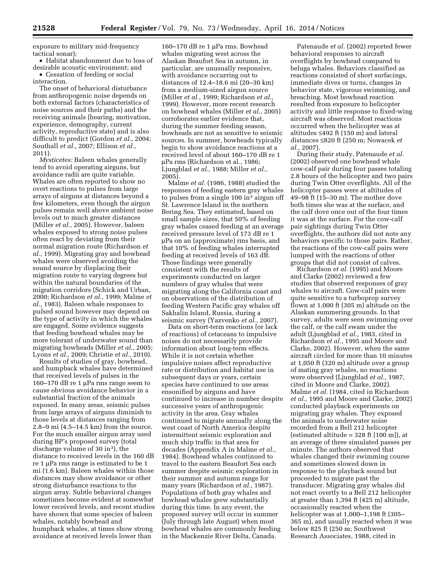exposure to military mid-frequency tactical sonar);

• Habitat abandonment due to loss of desirable acoustic environment; and

• Cessation of feeding or social interaction.

The onset of behavioral disturbance from anthropogenic noise depends on both external factors (characteristics of noise sources and their paths) and the receiving animals (hearing, motivation, experience, demography, current activity, reproductive state) and is also difficult to predict (Gordon *et al.,* 2004; Southall *et al.,* 2007; Ellison *et al.,*  2011).

*Mysticetes:* Baleen whales generally tend to avoid operating airguns, but avoidance radii are quite variable. Whales are often reported to show no overt reactions to pulses from large arrays of airguns at distances beyond a few kilometers, even though the airgun pulses remain well above ambient noise levels out to much greater distances (Miller *et al.,* 2005). However, baleen whales exposed to strong noise pulses often react by deviating from their normal migration route (Richardson *et al.,* 1999). Migrating gray and bowhead whales were observed avoiding the sound source by displacing their migration route to varying degrees but within the natural boundaries of the migration corridors (Schick and Urban, 2000; Richardson *et al.,* 1999; Malme *et al.,* 1983). Baleen whale responses to pulsed sound however may depend on the type of activity in which the whales are engaged. Some evidence suggests that feeding bowhead whales may be more tolerant of underwater sound than migrating bowheads (Miller *et al.,* 2005; Lyons *et al.,* 2009; Christie *et al.,* 2010).

Results of studies of gray, bowhead, and humpback whales have determined that received levels of pulses in the 160–170 dB re 1 µPa rms range seem to cause obvious avoidance behavior in a substantial fraction of the animals exposed. In many areas, seismic pulses from large arrays of airguns diminish to those levels at distances ranging from 2.8–9 mi (4.5–14.5 km) from the source. For the much smaller airgun array used during BP's proposed survey (total discharge volume of 30 in<sup>3</sup>), the distance to received levels in the 160 dB  $re 1 \mu Pa$  rms range is estimated to be 1 mi (1.6 km). Baleen whales within those distances may show avoidance or other strong disturbance reactions to the airgun array. Subtle behavioral changes sometimes become evident at somewhat lower received levels, and recent studies have shown that some species of baleen whales, notably bowhead and humpback whales, at times show strong avoidance at received levels lower than

160-170 dB re 1 uPa rms. Bowhead whales migrating west across the Alaskan Beaufort Sea in autumn, in particular, are unusually responsive, with avoidance occurring out to distances of 12.4–18.6 mi (20–30 km) from a medium-sized airgun source (Miller *et al.,* 1999; Richardson *et al.,*  1999). However, more recent research on bowhead whales (Miller *et al.,* 2005) corroborates earlier evidence that, during the summer feeding season, bowheads are not as sensitive to seismic sources. In summer, bowheads typically begin to show avoidance reactions at a received level of about 160–170 dB re 1 mPa rms (Richardson et al., 1986; Ljungblad *et al.,* 1988; Miller *et al.,*  2005).

Malme *et al.* (1986, 1988) studied the responses of feeding eastern gray whales to pulses from a single 100 in3 airgun off St. Lawrence Island in the northern Bering Sea. They estimated, based on small sample sizes, that 50% of feeding gray whales ceased feeding at an average received pressure level of 173 dB re 1 mPa on an (approximate) rms basis, and that 10% of feeding whales interrupted feeding at received levels of 163 dB. Those findings were generally consistent with the results of experiments conducted on larger numbers of gray whales that were migrating along the California coast and on observations of the distribution of feeding Western Pacific gray whales off Sakhalin Island, Russia, during a seismic survey (Yazvenko *et al.,* 2007).

Data on short-term reactions (or lack of reactions) of cetaceans to impulsive noises do not necessarily provide information about long-term effects. While it is not certain whether impulsive noises affect reproductive rate or distribution and habitat use in subsequent days or years, certain species have continued to use areas ensonified by airguns and have continued to increase in number despite successive years of anthropogenic activity in the area. Gray whales continued to migrate annually along the west coast of North America despite intermittent seismic exploration and much ship traffic in that area for decades (Appendix A in Malme *et al.,*  1984). Bowhead whales continued to travel to the eastern Beaufort Sea each summer despite seismic exploration in their summer and autumn range for many years (Richardson *et al.,* 1987). Populations of both gray whales and bowhead whales grew substantially during this time. In any event, the proposed survey will occur in summer (July through late August) when most bowhead whales are commonly feeding in the Mackenzie River Delta, Canada.

Patenaude *et al.* (2002) reported fewer behavioral responses to aircraft overflights by bowhead compared to beluga whales. Behaviors classified as reactions consisted of short surfacings, immediate dives or turns, changes in behavior state, vigorous swimming, and breaching. Most bowhead reaction resulted from exposure to helicopter activity and little response to fixed-wing aircraft was observed. Most reactions occurred when the helicopter was at altitudes ≤492 ft (150 m) and lateral distances ≤820 ft (250 m; Nowacek *et al.,* 2007).

During their study, Patenaude *et al.*  (2002) observed one bowhead whale cow-calf pair during four passes totaling 2.8 hours of the helicopter and two pairs during Twin Otter overflights. All of the helicopter passes were at altitudes of 49–98 ft (15–30 m). The mother dove both times she was at the surface, and the calf dove once out of the four times it was at the surface. For the cow-calf pair sightings during Twin Otter overflights, the authors did not note any behaviors specific to those pairs. Rather, the reactions of the cow-calf pairs were lumped with the reactions of other groups that did not consist of calves.

Richardson *et al.* (1995) and Moore and Clarke (2002) reviewed a few studies that observed responses of gray whales to aircraft. Cow-calf pairs were quite sensitive to a turboprop survey flown at 1,000 ft (305 m) altitude on the Alaskan summering grounds. In that survey, adults were seen swimming over the calf, or the calf swam under the adult (Ljungblad *et al.,* 1983, cited in Richardson *et al.,* 1995 and Moore and Clarke, 2002). However, when the same aircraft circled for more than 10 minutes at 1,050 ft (320 m) altitude over a group of mating gray whales, no reactions were observed (Ljungblad *et al.,* 1987, cited in Moore and Clarke, 2002). Malme *et al.* (1984, cited in Richardson *et al.,* 1995 and Moore and Clarke, 2002) conducted playback experiments on migrating gray whales. They exposed the animals to underwater noise recorded from a Bell 212 helicopter (estimated altitude =  $328 \text{ ft}$  [100 m]), at an average of three simulated passes per minute. The authors observed that whales changed their swimming course and sometimes slowed down in response to the playback sound but proceeded to migrate past the transducer. Migrating gray whales did not react overtly to a Bell 212 helicopter at greater than 1,394 ft (425 m) altitude, occasionally reacted when the helicopter was at 1,000–1,198 ft (305– 365 m), and usually reacted when it was below 825 ft (250 m; Southwest Research Associates, 1988, cited in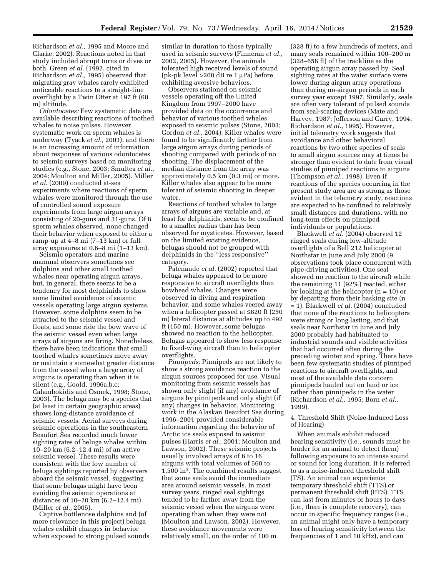Richardson *et al.,* 1995 and Moore and Clarke, 2002). Reactions noted in that study included abrupt turns or dives or both. Green *et al.* (1992, cited in Richardson *et al.,* 1995) observed that migrating gray whales rarely exhibited noticeable reactions to a straight-line overflight by a Twin Otter at 197 ft (60 m) altitude.

*Odontocetes:* Few systematic data are available describing reactions of toothed whales to noise pulses. However, systematic work on sperm whales is underway (Tyack *et al.,* 2003), and there is an increasing amount of information about responses of various odontocetes to seismic surveys based on monitoring studies (e.g., Stone, 2003; Smultea *et al.,*  2004; Moulton and Miller, 2005). Miller *et al.* (2009) conducted at-sea experiments where reactions of sperm whales were monitored through the use of controlled sound exposure experiments from large airgun arrays consisting of 20-guns and 31-guns. Of 8 sperm whales observed, none changed their behavior when exposed to either a ramp-up at 4–8 mi (7–13 km) or full array exposures at 0.6–8 mi (1–13 km).

Seismic operators and marine mammal observers sometimes see dolphins and other small toothed whales near operating airgun arrays, but, in general, there seems to be a tendency for most delphinids to show some limited avoidance of seismic vessels operating large airgun systems. However, some dolphins seem to be attracted to the seismic vessel and floats, and some ride the bow wave of the seismic vessel even when large arrays of airguns are firing. Nonetheless, there have been indications that small toothed whales sometimes move away or maintain a somewhat greater distance from the vessel when a large array of airguns is operating than when it is silent (e.g., Goold, 1996a,b,c; Calambokidis and Osmek, 1998; Stone, 2003). The beluga may be a species that (at least in certain geographic areas) shows long-distance avoidance of seismic vessels. Aerial surveys during seismic operations in the southeastern Beaufort Sea recorded much lower sighting rates of beluga whales within 10–20 km (6.2–12.4 mi) of an active seismic vessel. These results were consistent with the low number of beluga sightings reported by observers aboard the seismic vessel, suggesting that some belugas might have been avoiding the seismic operations at distances of 10–20 km (6.2–12.4 mi) (Miller *et al.,* 2005).

Captive bottlenose dolphins and (of more relevance in this project) beluga whales exhibit changes in behavior when exposed to strong pulsed sounds similar in duration to those typically used in seismic surveys (Finneran *et al.,*  2002, 2005). However, the animals tolerated high received levels of sound (pk-pk level  $>$  200 dB re 1 µPa) before exhibiting aversive behaviors.

Observers stationed on seismic vessels operating off the United Kingdom from 1997–2000 have provided data on the occurrence and behavior of various toothed whales exposed to seismic pulses (Stone, 2003; Gordon *et al.,* 2004). Killer whales were found to be significantly farther from large airgun arrays during periods of shooting compared with periods of no shooting. The displacement of the median distance from the array was approximately 0.5 km (0.3 mi) or more. Killer whales also appear to be more tolerant of seismic shooting in deeper water.

Reactions of toothed whales to large arrays of airguns are variable and, at least for delphinids, seem to be confined to a smaller radius than has been observed for mysticetes. However, based on the limited existing evidence, belugas should not be grouped with delphinids in the ''less responsive'' category.

Patenaude *et al.* (2002) reported that beluga whales appeared to be more responsive to aircraft overflights than bowhead whales. Changes were observed in diving and respiration behavior, and some whales veered away when a helicopter passed at ≤820 ft (250 m) lateral distance at altitudes up to 492 ft (150 m). However, some belugas showed no reaction to the helicopter. Belugas appeared to show less response to fixed-wing aircraft than to helicopter overflights.

*Pinnipeds:* Pinnipeds are not likely to show a strong avoidance reaction to the airgun sources proposed for use. Visual monitoring from seismic vessels has shown only slight (if any) avoidance of airguns by pinnipeds and only slight (if any) changes in behavior. Monitoring work in the Alaskan Beaufort Sea during 1996–2001 provided considerable information regarding the behavior of Arctic ice seals exposed to seismic pulses (Harris *et al.,* 2001; Moulton and Lawson, 2002). These seismic projects usually involved arrays of 6 to 16 airguns with total volumes of 560 to 1,500 in3. The combined results suggest that some seals avoid the immediate area around seismic vessels. In most survey years, ringed seal sightings tended to be farther away from the seismic vessel when the airguns were operating than when they were not (Moulton and Lawson, 2002). However, these avoidance movements were relatively small, on the order of 100 m

(328 ft) to a few hundreds of meters, and many seals remained within 100–200 m (328–656 ft) of the trackline as the operating airgun array passed by. Seal sighting rates at the water surface were lower during airgun array operations than during no-airgun periods in each survey year except 1997. Similarly, seals are often very tolerant of pulsed sounds from seal-scaring devices (Mate and Harvey, 1987; Jefferson and Curry, 1994; Richardson *et al.,* 1995). However, initial telemetry work suggests that avoidance and other behavioral reactions by two other species of seals to small airgun sources may at times be stronger than evident to date from visual studies of pinniped reactions to airguns (Thompson *et al.,* 1998). Even if reactions of the species occurring in the present study area are as strong as those evident in the telemetry study, reactions are expected to be confined to relatively small distances and durations, with no long-term effects on pinniped individuals or populations.

Blackwell *et al.* (2004) observed 12 ringed seals during low-altitude overflights of a Bell 212 helicopter at Northstar in June and July 2000 (9 observations took place concurrent with pipe-driving activities). One seal showed no reaction to the aircraft while the remaining 11 (92%) reacted, either by looking at the helicopter (n = 10) or by departing from their basking site (n = 1). Blackwell *et al.* (2004) concluded that none of the reactions to helicopters were strong or long lasting, and that seals near Northstar in June and July 2000 probably had habituated to industrial sounds and visible activities that had occurred often during the preceding winter and spring. There have been few systematic studies of pinniped reactions to aircraft overflights, and most of the available data concern pinnipeds hauled out on land or ice rather than pinnipeds in the water (Richardson *et al.,* 1995; Born *et al.,*  1999).

4. Threshold Shift (Noise-Induced Loss of Hearing)

When animals exhibit reduced hearing sensitivity (i.e., sounds must be louder for an animal to detect them) following exposure to an intense sound or sound for long duration, it is referred to as a noise-induced threshold shift (TS). An animal can experience temporary threshold shift (TTS) or permanent threshold shift (PTS). TTS can last from minutes or hours to days (i.e., there is complete recovery), can occur in specific frequency ranges (i.e., an animal might only have a temporary loss of hearing sensitivity between the frequencies of 1 and 10 kHz), and can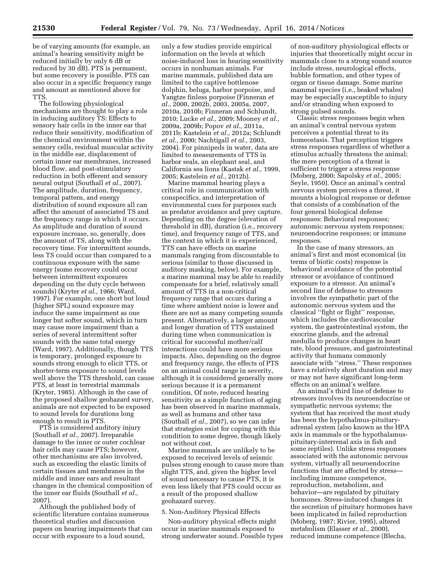be of varying amounts (for example, an animal's hearing sensitivity might be reduced initially by only 6 dB or reduced by 30 dB). PTS is permanent, but some recovery is possible. PTS can also occur in a specific frequency range and amount as mentioned above for TTS.

The following physiological mechanisms are thought to play a role in inducing auditory TS: Effects to sensory hair cells in the inner ear that reduce their sensitivity, modification of the chemical environment within the sensory cells, residual muscular activity in the middle ear, displacement of certain inner ear membranes, increased blood flow, and post-stimulatory reduction in both efferent and sensory neural output (Southall *et al.,* 2007). The amplitude, duration, frequency, temporal pattern, and energy distribution of sound exposure all can affect the amount of associated TS and the frequency range in which it occurs. As amplitude and duration of sound exposure increase, so, generally, does the amount of TS, along with the recovery time. For intermittent sounds, less TS could occur than compared to a continuous exposure with the same energy (some recovery could occur between intermittent exposures depending on the duty cycle between sounds) (Kryter *et al.,* 1966; Ward, 1997). For example, one short but loud (higher SPL) sound exposure may induce the same impairment as one longer but softer sound, which in turn may cause more impairment than a series of several intermittent softer sounds with the same total energy (Ward, 1997). Additionally, though TTS is temporary, prolonged exposure to sounds strong enough to elicit TTS, or shorter-term exposure to sound levels well above the TTS threshold, can cause PTS, at least in terrestrial mammals (Kryter, 1985). Although in the case of the proposed shallow geohazard survey, animals are not expected to be exposed to sound levels for durations long enough to result in PTS.

PTS is considered auditory injury (Southall *et al.,* 2007). Irreparable damage to the inner or outer cochlear hair cells may cause PTS; however, other mechanisms are also involved, such as exceeding the elastic limits of certain tissues and membranes in the middle and inner ears and resultant changes in the chemical composition of the inner ear fluids (Southall *et al.,*  2007).

Although the published body of scientific literature contains numerous theoretical studies and discussion papers on hearing impairments that can occur with exposure to a loud sound,

only a few studies provide empirical information on the levels at which noise-induced loss in hearing sensitivity occurs in nonhuman animals. For marine mammals, published data are limited to the captive bottlenose dolphin, beluga, harbor porpoise, and Yangtze finless porpoise (Finneran *et al.,* 2000, 2002b, 2003, 2005a, 2007, 2010a, 2010b; Finneran and Schlundt, 2010; Lucke *et al.,* 2009; Mooney *et al.,*  2009a, 2009b; Popov *et al.,* 2011a, 2011b; Kastelein *et al.,* 2012a; Schlundt *et al.,* 2000; Nachtigall *et al.,* 2003, 2004). For pinnipeds in water, data are limited to measurements of TTS in harbor seals, an elephant seal, and California sea lions (Kastak *et al.,* 1999, 2005; Kastelein *et al.,* 2012b).

Marine mammal hearing plays a critical role in communication with conspecifics, and interpretation of environmental cues for purposes such as predator avoidance and prey capture. Depending on the degree (elevation of threshold in dB), duration (i.e., recovery time), and frequency range of TTS, and the context in which it is experienced, TTS can have effects on marine mammals ranging from discountable to serious (similar to those discussed in auditory masking, below). For example, a marine mammal may be able to readily compensate for a brief, relatively small amount of TTS in a non-critical frequency range that occurs during a time where ambient noise is lower and there are not as many competing sounds present. Alternatively, a larger amount and longer duration of TTS sustained during time when communication is critical for successful mother/calf interactions could have more serious impacts. Also, depending on the degree and frequency range, the effects of PTS on an animal could range in severity, although it is considered generally more serious because it is a permanent condition. Of note, reduced hearing sensitivity as a simple function of aging has been observed in marine mammals, as well as humans and other taxa (Southall *et al.,* 2007), so we can infer that strategies exist for coping with this condition to some degree, though likely not without cost.

Marine mammals are unlikely to be exposed to received levels of seismic pulses strong enough to cause more than slight TTS, and, given the higher level of sound necessary to cause PTS, it is even less likely that PTS could occur as a result of the proposed shallow geohazard survey.

#### 5. Non-Auditory Physical Effects

Non-auditory physical effects might occur in marine mammals exposed to strong underwater sound. Possible types

of non-auditory physiological effects or injuries that theoretically might occur in mammals close to a strong sound source include stress, neurological effects, bubble formation, and other types of organ or tissue damage. Some marine mammal species (i.e., beaked whales) may be especially susceptible to injury and/or stranding when exposed to strong pulsed sounds.

Classic stress responses begin when an animal's central nervous system perceives a potential threat to its homeostasis. That perception triggers stress responses regardless of whether a stimulus actually threatens the animal; the mere perception of a threat is sufficient to trigger a stress response (Moberg, 2000; Sapolsky *et al.,* 2005; Seyle, 1950). Once an animal's central nervous system perceives a threat, it mounts a biological response or defense that consists of a combination of the four general biological defense responses: Behavioral responses; autonomic nervous system responses; neuroendocrine responses; or immune responses.

In the case of many stressors, an animal's first and most economical (in terms of biotic costs) response is behavioral avoidance of the potential stressor or avoidance of continued exposure to a stressor. An animal's second line of defense to stressors involves the sympathetic part of the autonomic nervous system and the classical ''fight or flight'' response, which includes the cardiovascular system, the gastrointestinal system, the exocrine glands, and the adrenal medulla to produce changes in heart rate, blood pressure, and gastrointestinal activity that humans commonly associate with ''stress.'' These responses have a relatively short duration and may or may not have significant long-term effects on an animal's welfare.

An animal's third line of defense to stressors involves its neuroendocrine or sympathetic nervous systems; the system that has received the most study has been the hypothalmus-pituitaryadrenal system (also known as the HPA axis in mammals or the hypothalamuspituitary-interrenal axis in fish and some reptiles). Unlike stress responses associated with the autonomic nervous system, virtually all neuroendocrine functions that are affected by stress including immune competence, reproduction, metabolism, and behavior—are regulated by pituitary hormones. Stress-induced changes in the secretion of pituitary hormones have been implicated in failed reproduction (Moberg, 1987; Rivier, 1995), altered metabolism (Elasser *et al.,* 2000), reduced immune competence (Blecha,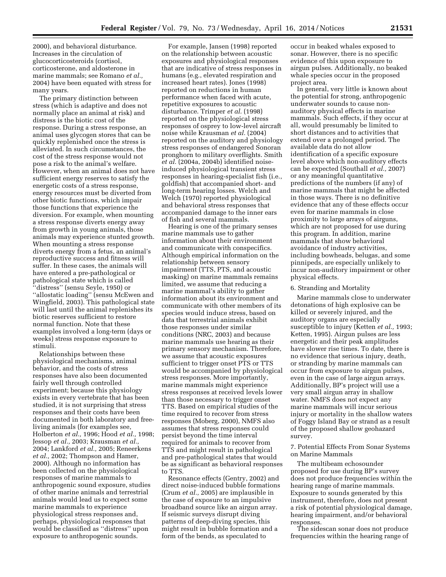2000), and behavioral disturbance. Increases in the circulation of glucocorticosteroids (cortisol, corticosterone, and aldosterone in marine mammals; see Romano *et al.,*  2004) have been equated with stress for many years.

The primary distinction between stress (which is adaptive and does not normally place an animal at risk) and distress is the biotic cost of the response. During a stress response, an animal uses glycogen stores that can be quickly replenished once the stress is alleviated. In such circumstances, the cost of the stress response would not pose a risk to the animal's welfare. However, when an animal does not have sufficient energy reserves to satisfy the energetic costs of a stress response, energy resources must be diverted from other biotic functions, which impair those functions that experience the diversion. For example, when mounting a stress response diverts energy away from growth in young animals, those animals may experience stunted growth. When mounting a stress response diverts energy from a fetus, an animal's reproductive success and fitness will suffer. In these cases, the animals will have entered a pre-pathological or pathological state which is called ''distress'' (sensu Seyle, 1950) or ''allostatic loading'' (sensu McEwen and Wingfield, 2003). This pathological state will last until the animal replenishes its biotic reserves sufficient to restore normal function. Note that these examples involved a long-term (days or weeks) stress response exposure to stimuli.

Relationships between these physiological mechanisms, animal behavior, and the costs of stress responses have also been documented fairly well through controlled experiment; because this physiology exists in every vertebrate that has been studied, it is not surprising that stress responses and their costs have been documented in both laboratory and freeliving animals (for examples see, Holberton *et al.,* 1996; Hood *et al.,* 1998; Jessop *et al.,* 2003; Krausman *et al.,*  2004; Lankford *et al.,* 2005; Reneerkens *et al.,* 2002; Thompson and Hamer, 2000). Although no information has been collected on the physiological responses of marine mammals to anthropogenic sound exposure, studies of other marine animals and terrestrial animals would lead us to expect some marine mammals to experience physiological stress responses and, perhaps, physiological responses that would be classified as ''distress'' upon exposure to anthropogenic sounds.

For example, Jansen (1998) reported on the relationship between acoustic exposures and physiological responses that are indicative of stress responses in humans (e.g., elevated respiration and increased heart rates). Jones (1998) reported on reductions in human performance when faced with acute, repetitive exposures to acoustic disturbance. Trimper *et al.* (1998) reported on the physiological stress responses of osprey to low-level aircraft noise while Krausman *et al.* (2004) reported on the auditory and physiology stress responses of endangered Sonoran pronghorn to military overflights. Smith *et al.* (2004a, 2004b) identified noiseinduced physiological transient stress responses in hearing-specialist fish (i.e., goldfish) that accompanied short- and long-term hearing losses. Welch and Welch (1970) reported physiological and behavioral stress responses that accompanied damage to the inner ears of fish and several mammals.

Hearing is one of the primary senses marine mammals use to gather information about their environment and communicate with conspecifics. Although empirical information on the relationship between sensory impairment (TTS, PTS, and acoustic masking) on marine mammals remains limited, we assume that reducing a marine mammal's ability to gather information about its environment and communicate with other members of its species would induce stress, based on data that terrestrial animals exhibit those responses under similar conditions (NRC, 2003) and because marine mammals use hearing as their primary sensory mechanism. Therefore, we assume that acoustic exposures sufficient to trigger onset PTS or TTS would be accompanied by physiological stress responses. More importantly, marine mammals might experience stress responses at received levels lower than those necessary to trigger onset TTS. Based on empirical studies of the time required to recover from stress responses (Moberg, 2000), NMFS also assumes that stress responses could persist beyond the time interval required for animals to recover from TTS and might result in pathological and pre-pathological states that would be as significant as behavioral responses to TTS.

Resonance effects (Gentry, 2002) and direct noise-induced bubble formations (Crum *et al.,* 2005) are implausible in the case of exposure to an impulsive broadband source like an airgun array. If seismic surveys disrupt diving patterns of deep-diving species, this might result in bubble formation and a form of the bends, as speculated to

occur in beaked whales exposed to sonar. However, there is no specific evidence of this upon exposure to airgun pulses. Additionally, no beaked whale species occur in the proposed project area.

In general, very little is known about the potential for strong, anthropogenic underwater sounds to cause nonauditory physical effects in marine mammals. Such effects, if they occur at all, would presumably be limited to short distances and to activities that extend over a prolonged period. The available data do not allow identification of a specific exposure level above which non-auditory effects can be expected (Southall *et al.,* 2007) or any meaningful quantitative predictions of the numbers (if any) of marine mammals that might be affected in those ways. There is no definitive evidence that any of these effects occur even for marine mammals in close proximity to large arrays of airguns, which are not proposed for use during this program. In addition, marine mammals that show behavioral avoidance of industry activities, including bowheads, belugas, and some pinnipeds, are especially unlikely to incur non-auditory impairment or other physical effects.

#### 6. Stranding and Mortality

Marine mammals close to underwater detonations of high explosive can be killed or severely injured, and the auditory organs are especially susceptible to injury (Ketten *et al.,* 1993; Ketten, 1995). Airgun pulses are less energetic and their peak amplitudes have slower rise times. To date, there is no evidence that serious injury, death, or stranding by marine mammals can occur from exposure to airgun pulses, even in the case of large airgun arrays. Additionally, BP's project will use a very small airgun array in shallow water. NMFS does not expect any marine mammals will incur serious injury or mortality in the shallow waters of Foggy Island Bay or strand as a result of the proposed shallow geohazard survey.

7. Potential Effects From Sonar Systems on Marine Mammals

The multibeam echosounder proposed for use during BP's survey does not produce frequencies within the hearing range of marine mammals. Exposure to sounds generated by this instrument, therefore, does not present a risk of potential physiological damage, hearing impairment, and/or behavioral responses.

The sidescan sonar does not produce frequencies within the hearing range of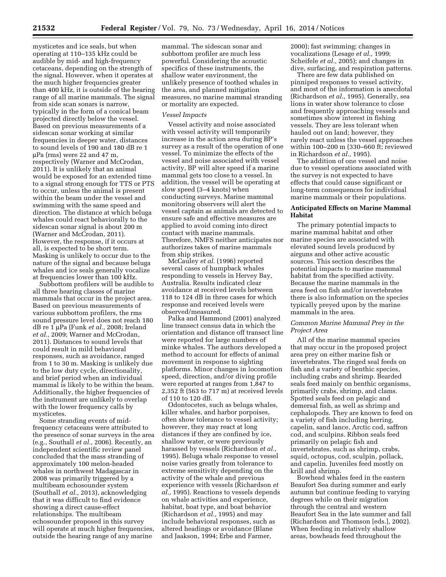mysticetes and ice seals, but when operating at 110–135 kHz could be audible by mid- and high-frequency cetaceans, depending on the strength of the signal. However, when it operates at the much higher frequencies greater than 400 kHz, it is outside of the hearing range of all marine mammals. The signal from side scan sonars is narrow, typically in the form of a conical beam projected directly below the vessel. Based on previous measurements of a sidescan sonar working at similar frequencies in deeper water, distances to sound levels of 190 and 180 dB re 1 mPa (rms) were 22 and 47 m, respectively (Warner and McCrodan, 2011). It is unlikely that an animal would be exposed for an extended time to a signal strong enough for TTS or PTS to occur, unless the animal is present within the beam under the vessel and swimming with the same speed and direction. The distance at which beluga whales could react behaviorally to the sidescan sonar signal is about 200 m (Warner and McCrodan, 2011). However, the response, if it occurs at all, is expected to be short term. Masking is unlikely to occur due to the nature of the signal and because beluga whales and ice seals generally vocalize at frequencies lower than 100 kHz.

Subbottom profilers will be audible to all three hearing classes of marine mammals that occur in the project area. Based on previous measurements of various subbottom profilers, the rms sound pressure level does not reach 180 dB re 1 μPa (Funk *et al.*, 2008; Ireland *et al.,* 2009; Warner and McCrodan, 2011). Distances to sound levels that could result in mild behavioral responses, such as avoidance, ranged from 1 to 30 m. Masking is unlikely due to the low duty cycle, directionality, and brief period when an individual mammal is likely to be within the beam. Additionally, the higher frequencies of the instrument are unlikely to overlap with the lower frequency calls by mysticetes.

Some stranding events of midfrequency cetaceans were attributed to the presence of sonar surveys in the area (e.g., Southall *et al.,* 2006). Recently, an independent scientific review panel concluded that the mass stranding of approximately 100 melon-headed whales in northwest Madagascar in 2008 was primarily triggered by a multibeam echosounder system (Southall *et al.,* 2013), acknowledging that it was difficult to find evidence showing a direct cause-effect relationships. The multibeam echosounder proposed in this survey will operate at much higher frequencies, outside the hearing range of any marine

mammal. The sidescan sonar and subbottom profiler are much less powerful. Considering the acoustic specifics of these instruments, the shallow water environment, the unlikely presence of toothed whales in the area, and planned mitigation measures, no marine mammal stranding or mortality are expected.

#### *Vessel Impacts*

Vessel activity and noise associated with vessel activity will temporarily increase in the action area during BP's survey as a result of the operation of one vessel. To minimize the effects of the vessel and noise associated with vessel activity, BP will alter speed if a marine mammal gets too close to a vessel. In addition, the vessel will be operating at slow speed (3–4 knots) when conducting surveys. Marine mammal monitoring observers will alert the vessel captain as animals are detected to ensure safe and effective measures are applied to avoid coming into direct contact with marine mammals. Therefore, NMFS neither anticipates nor authorizes takes of marine mammals from ship strikes.

McCauley *et al.* (1996) reported several cases of humpback whales responding to vessels in Hervey Bay, Australia. Results indicated clear avoidance at received levels between 118 to 124 dB in three cases for which response and received levels were observed/measured.

Palka and Hammond (2001) analyzed line transect census data in which the orientation and distance off transect line were reported for large numbers of minke whales. The authors developed a method to account for effects of animal movement in response to sighting platforms. Minor changes in locomotion speed, direction, and/or diving profile were reported at ranges from 1,847 to 2,352 ft (563 to 717 m) at received levels of 110 to 120 dB.

Odontocetes, such as beluga whales, killer whales, and harbor porpoises, often show tolerance to vessel activity; however, they may react at long distances if they are confined by ice, shallow water, or were previously harassed by vessels (Richardson *et al.,*  1995). Beluga whale response to vessel noise varies greatly from tolerance to extreme sensitivity depending on the activity of the whale and previous experience with vessels (Richardson *et al.,* 1995). Reactions to vessels depends on whale activities and experience, habitat, boat type, and boat behavior (Richardson *et al.,* 1995) and may include behavioral responses, such as altered headings or avoidance (Blane and Jaakson, 1994; Erbe and Farmer,

2000); fast swimming; changes in vocalizations (Lesage *et al.,* 1999; Scheifele *et al.,* 2005); and changes in dive, surfacing, and respiration patterns.

There are few data published on pinniped responses to vessel activity, and most of the information is anecdotal (Richardson *et al.,* 1995). Generally, sea lions in water show tolerance to close and frequently approaching vessels and sometimes show interest in fishing vessels. They are less tolerant when hauled out on land; however, they rarely react unless the vessel approaches within 100–200 m (330–660 ft; reviewed in Richardson *et al.,* 1995).

The addition of one vessel and noise due to vessel operations associated with the survey is not expected to have effects that could cause significant or long-term consequences for individual marine mammals or their populations.

# **Anticipated Effects on Marine Mammal Habitat**

The primary potential impacts to marine mammal habitat and other marine species are associated with elevated sound levels produced by airguns and other active acoustic sources. This section describes the potential impacts to marine mammal habitat from the specified activity. Because the marine mammals in the area feed on fish and/or invertebrates there is also information on the species typically preyed upon by the marine mammals in the area.

# *Common Marine Mammal Prey in the Project Area*

All of the marine mammal species that may occur in the proposed project area prey on either marine fish or invertebrates. The ringed seal feeds on fish and a variety of benthic species, including crabs and shrimp. Bearded seals feed mainly on benthic organisms, primarily crabs, shrimp, and clams. Spotted seals feed on pelagic and demersal fish, as well as shrimp and cephalopods. They are known to feed on a variety of fish including herring, capelin, sand lance, Arctic cod, saffron cod, and sculpins. Ribbon seals feed primarily on pelagic fish and invertebrates, such as shrimp, crabs, squid, octopus, cod, sculpin, pollack, and capelin. Juveniles feed mostly on krill and shrimp.

Bowhead whales feed in the eastern Beaufort Sea during summer and early autumn but continue feeding to varying degrees while on their migration through the central and western Beaufort Sea in the late summer and fall (Richardson and Thomson [eds.], 2002). When feeding in relatively shallow areas, bowheads feed throughout the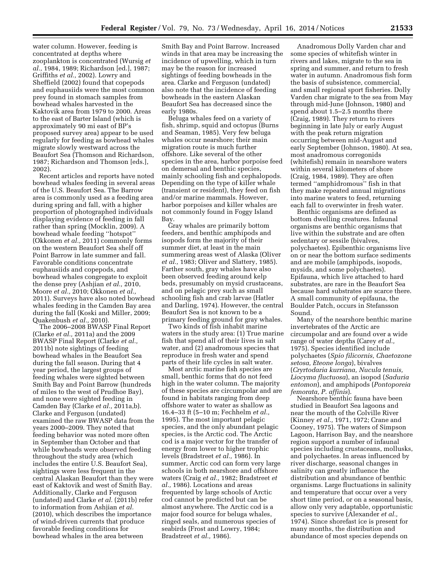water column. However, feeding is concentrated at depths where zooplankton is concentrated (Wursig *et al.,* 1984, 1989; Richardson [ed.], 1987; Griffiths *et al.,* 2002). Lowry and Sheffield (2002) found that copepods and euphausiids were the most common prey found in stomach samples from bowhead whales harvested in the Kaktovik area from 1979 to 2000. Areas to the east of Barter Island (which is approximately 90 mi east of BP's proposed survey area) appear to be used regularly for feeding as bowhead whales migrate slowly westward across the Beaufort Sea (Thomson and Richardson, 1987; Richardson and Thomson [eds.], 2002).

Recent articles and reports have noted bowhead whales feeding in several areas of the U.S. Beaufort Sea. The Barrow area is commonly used as a feeding area during spring and fall, with a higher proportion of photographed individuals displaying evidence of feeding in fall rather than spring (Mocklin, 2009). A bowhead whale feeding ''hotspot'' (Okkonen *et al.,* 2011) commonly forms on the western Beaufort Sea shelf off Point Barrow in late summer and fall. Favorable conditions concentrate euphausiids and copepods, and bowhead whales congregate to exploit the dense prey (Ashjian *et al.,* 2010, Moore *et al.,* 2010; Okkonen *et al.,*  2011). Surveys have also noted bowhead whales feeding in the Camden Bay area during the fall (Koski and Miller, 2009; Quakenbush *et al.,* 2010).

The 2006–2008 BWASP Final Report (Clarke *et al.,* 2011a) and the 2009 BWASP Final Report (Clarke *et al.,*  2011b) note sightings of feeding bowhead whales in the Beaufort Sea during the fall season. During that 4 year period, the largest groups of feeding whales were sighted between Smith Bay and Point Barrow (hundreds of miles to the west of Prudhoe Bay), and none were sighted feeding in Camden Bay (Clarke *et al.,* 2011a,b). Clarke and Ferguson (undated) examined the raw BWASP data from the years 2000–2009. They noted that feeding behavior was noted more often in September than October and that while bowheads were observed feeding throughout the study area (which includes the entire U.S. Beaufort Sea), sightings were less frequent in the central Alaskan Beaufort than they were east of Kaktovik and west of Smith Bay. Additionally, Clarke and Ferguson (undated) and Clarke *et al.* (2011b) refer to information from Ashjian *et al.*  (2010), which describes the importance of wind-driven currents that produce favorable feeding conditions for bowhead whales in the area between

Smith Bay and Point Barrow. Increased winds in that area may be increasing the incidence of upwelling, which in turn may be the reason for increased sightings of feeding bowheads in the area. Clarke and Ferguson (undated) also note that the incidence of feeding bowheads in the eastern Alaskan Beaufort Sea has decreased since the early 1980s.

Beluga whales feed on a variety of fish, shrimp, squid and octopus (Burns and Seaman, 1985). Very few beluga whales occur nearshore; their main migration route is much further offshore. Like several of the other species in the area, harbor porpoise feed on demersal and benthic species, mainly schooling fish and cephalopods. Depending on the type of killer whale (transient or resident), they feed on fish and/or marine mammals. However, harbor porpoises and killer whales are not commonly found in Foggy Island Bay.

Gray whales are primarily bottom feeders, and benthic amphipods and isopods form the majority of their summer diet, at least in the main summering areas west of Alaska (Oliver *et al.,* 1983; Oliver and Slattery, 1985). Farther south, gray whales have also been observed feeding around kelp beds, presumably on mysid crustaceans, and on pelagic prey such as small schooling fish and crab larvae (Hatler and Darling, 1974). However, the central Beaufort Sea is not known to be a primary feeding ground for gray whales.

Two kinds of fish inhabit marine waters in the study area: (1) True marine fish that spend all of their lives in salt water, and (2) anadromous species that reproduce in fresh water and spend parts of their life cycles in salt water.

Most arctic marine fish species are small, benthic forms that do not feed high in the water column. The majority of these species are circumpolar and are found in habitats ranging from deep offshore water to water as shallow as 16.4–33 ft (5–10 m; Fechhelm *et al.,*  1995). The most important pelagic species, and the only abundant pelagic species, is the Arctic cod. The Arctic cod is a major vector for the transfer of energy from lower to higher trophic levels (Bradstreet *et al.,* 1986). In summer, Arctic cod can form very large schools in both nearshore and offshore waters (Craig *et al.,* 1982; Bradstreet *et al.,* 1986). Locations and areas frequented by large schools of Arctic cod cannot be predicted but can be almost anywhere. The Arctic cod is a major food source for beluga whales, ringed seals, and numerous species of seabirds (Frost and Lowry, 1984; Bradstreet *et al.,* 1986).

Anadromous Dolly Varden char and some species of whitefish winter in rivers and lakes, migrate to the sea in spring and summer, and return to fresh water in autumn. Anadromous fish form the basis of subsistence, commercial, and small regional sport fisheries. Dolly Varden char migrate to the sea from May through mid-June (Johnson, 1980) and spend about 1.5–2.5 months there (Craig, 1989). They return to rivers beginning in late July or early August with the peak return migration occurring between mid-August and early September (Johnson, 1980). At sea, most anadromous corregonids (whitefish) remain in nearshore waters within several kilometers of shore (Craig, 1984, 1989). They are often termed ''amphidromous'' fish in that they make repeated annual migrations into marine waters to feed, returning each fall to overwinter in fresh water.

Benthic organisms are defined as bottom dwelling creatures. Infaunal organisms are benthic organisms that live within the substrate and are often sedentary or sessile (bivalves, polychaetes). Epibenthic organisms live on or near the bottom surface sediments and are mobile (amphipods, isopods, mysids, and some polychaetes). Epifauna, which live attached to hard substrates, are rare in the Beaufort Sea because hard substrates are scarce there. A small community of epifauna, the Boulder Patch, occurs in Stefansson Sound.

Many of the nearshore benthic marine invertebrates of the Arctic are circumpolar and are found over a wide range of water depths (Carey *et al.,*  1975). Species identified include polychaetes (*Spio filicornis, Chaetozone setosa, Eteone longa*), bivalves (*Cryrtodaria kurriana, Nucula tenuis, Liocyma fluctuosa*), an isopod (*Saduria entomon*), and amphipods (*Pontoporeia femorata, P. affinis*).

Nearshore benthic fauna have been studied in Beaufort Sea lagoons and near the mouth of the Colville River (Kinney *et al.,* 1971, 1972; Crane and Cooney, 1975). The waters of Simpson Lagoon, Harrison Bay, and the nearshore region support a number of infaunal species including crustaceans, mollusks, and polychaetes. In areas influenced by river discharge, seasonal changes in salinity can greatly influence the distribution and abundance of benthic organisms. Large fluctuations in salinity and temperature that occur over a very short time period, or on a seasonal basis, allow only very adaptable, opportunistic species to survive (Alexander *et al.,*  1974). Since shorefast ice is present for many months, the distribution and abundance of most species depends on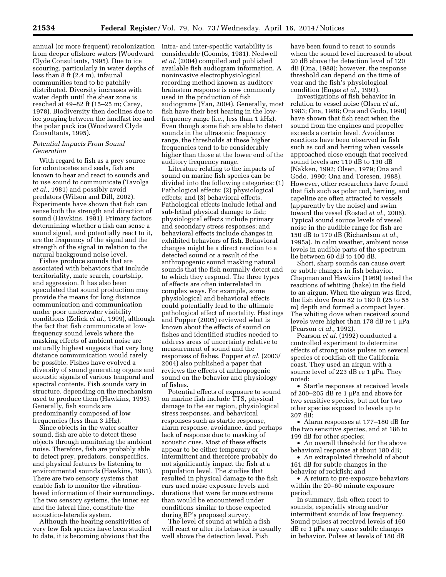annual (or more frequent) recolonization from deeper offshore waters (Woodward Clyde Consultants, 1995). Due to ice scouring, particularly in water depths of less than 8 ft (2.4 m), infaunal communities tend to be patchily distributed. Diversity increases with water depth until the shear zone is reached at 49–82 ft (15–25 m; Carey, 1978). Biodiversity then declines due to ice gouging between the landfast ice and the polar pack ice (Woodward Clyde Consultants, 1995).

# *Potential Impacts From Sound Generation*

With regard to fish as a prey source for odontocetes and seals, fish are known to hear and react to sounds and to use sound to communicate (Tavolga *et al.,* 1981) and possibly avoid predators (Wilson and Dill, 2002). Experiments have shown that fish can sense both the strength and direction of sound (Hawkins, 1981). Primary factors determining whether a fish can sense a sound signal, and potentially react to it, are the frequency of the signal and the strength of the signal in relation to the natural background noise level.

Fishes produce sounds that are associated with behaviors that include territoriality, mate search, courtship, and aggression. It has also been speculated that sound production may provide the means for long distance communication and communication under poor underwater visibility conditions (Zelick *et al.,* 1999), although the fact that fish communicate at lowfrequency sound levels where the masking effects of ambient noise are naturally highest suggests that very long distance communication would rarely be possible. Fishes have evolved a diversity of sound generating organs and acoustic signals of various temporal and spectral contents. Fish sounds vary in structure, depending on the mechanism used to produce them (Hawkins, 1993). Generally, fish sounds are predominantly composed of low frequencies (less than 3 kHz).

Since objects in the water scatter sound, fish are able to detect these objects through monitoring the ambient noise. Therefore, fish are probably able to detect prey, predators, conspecifics, and physical features by listening to environmental sounds (Hawkins, 1981). There are two sensory systems that enable fish to monitor the vibrationbased information of their surroundings. The two sensory systems, the inner ear and the lateral line, constitute the acoustico-lateralis system.

Although the hearing sensitivities of very few fish species have been studied to date, it is becoming obvious that the

intra- and inter-specific variability is considerable (Coombs, 1981). Nedwell *et al.* (2004) compiled and published available fish audiogram information. A noninvasive electrophysiological recording method known as auditory brainstem response is now commonly used in the production of fish audiograms (Yan, 2004). Generally, most fish have their best hearing in the lowfrequency range (i.e., less than 1 kHz). Even though some fish are able to detect sounds in the ultrasonic frequency range, the thresholds at these higher frequencies tend to be considerably higher than those at the lower end of the auditory frequency range.

Literature relating to the impacts of sound on marine fish species can be divided into the following categories: (1) Pathological effects; (2) physiological effects; and (3) behavioral effects. Pathological effects include lethal and sub-lethal physical damage to fish; physiological effects include primary and secondary stress responses; and behavioral effects include changes in exhibited behaviors of fish. Behavioral changes might be a direct reaction to a detected sound or a result of the anthropogenic sound masking natural sounds that the fish normally detect and to which they respond. The three types of effects are often interrelated in complex ways. For example, some physiological and behavioral effects could potentially lead to the ultimate pathological effect of mortality. Hastings and Popper (2005) reviewed what is known about the effects of sound on fishes and identified studies needed to address areas of uncertainty relative to measurement of sound and the responses of fishes. Popper *et al.* (2003/ 2004) also published a paper that reviews the effects of anthropogenic sound on the behavior and physiology of fishes.

Potential effects of exposure to sound on marine fish include TTS, physical damage to the ear region, physiological stress responses, and behavioral responses such as startle response, alarm response, avoidance, and perhaps lack of response due to masking of acoustic cues. Most of these effects appear to be either temporary or intermittent and therefore probably do not significantly impact the fish at a population level. The studies that resulted in physical damage to the fish ears used noise exposure levels and durations that were far more extreme than would be encountered under conditions similar to those expected during BP's proposed survey.

The level of sound at which a fish will react or alter its behavior is usually well above the detection level. Fish

have been found to react to sounds when the sound level increased to about 20 dB above the detection level of 120 dB (Ona, 1988); however, the response threshold can depend on the time of year and the fish's physiological condition (Engas *et al.,* 1993).

Investigations of fish behavior in relation to vessel noise (Olsen *et al.,*  1983; Ona, 1988; Ona and Godo, 1990) have shown that fish react when the sound from the engines and propeller exceeds a certain level. Avoidance reactions have been observed in fish such as cod and herring when vessels approached close enough that received sound levels are 110 dB to 130 dB (Nakken, 1992; Olsen, 1979; Ona and Godo, 1990; Ona and Toresen, 1988). However, other researchers have found that fish such as polar cod, herring, and capeline are often attracted to vessels (apparently by the noise) and swim toward the vessel (Rostad *et al.,* 2006). Typical sound source levels of vessel noise in the audible range for fish are 150 dB to 170 dB (Richardson *et al.,*  1995a). In calm weather, ambient noise levels in audible parts of the spectrum lie between 60 dB to 100 dB.

Short, sharp sounds can cause overt or subtle changes in fish behavior. Chapman and Hawkins (1969) tested the reactions of whiting (hake) in the field to an airgun. When the airgun was fired, the fish dove from 82 to 180 ft (25 to 55 m) depth and formed a compact layer. The whiting dove when received sound levels were higher than  $178$  dB re  $1 \mu$ Pa (Pearson *et al.,* 1992).

Pearson et al. (1992) conducted a controlled experiment to determine effects of strong noise pulses on several species of rockfish off the California coast. They used an airgun with a source level of 223 dB re 1 µPa. They noted:

• Startle responses at received levels of 200–205 dB re 1  $\mu$ Pa and above for two sensitive species, but not for two other species exposed to levels up to 207 dB;

• Alarm responses at 177–180 dB for the two sensitive species, and at 186 to 199 dB for other species;

• An overall threshold for the above behavioral response at about 180 dB;

• An extrapolated threshold of about 161 dB for subtle changes in the behavior of rockfish; and

• A return to pre-exposure behaviors within the 20–60 minute exposure period.

In summary, fish often react to sounds, especially strong and/or intermittent sounds of low frequency. Sound pulses at received levels of 160  $dB$  re 1  $\mu$ Pa may cause subtle changes in behavior. Pulses at levels of 180 dB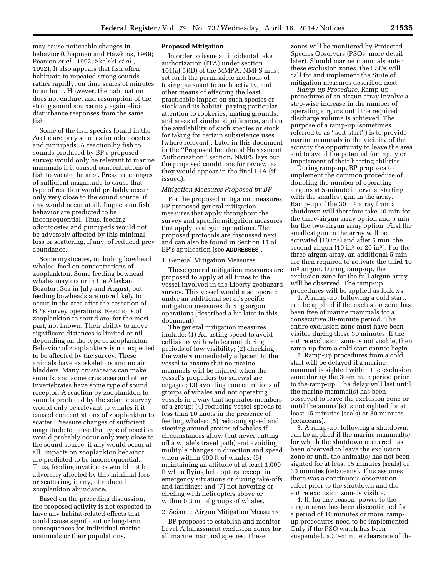may cause noticeable changes in behavior (Chapman and Hawkins, 1969; Pearson *et al.,* 1992; Skalski *et al.,*  1992). It also appears that fish often habituate to repeated strong sounds rather rapidly, on time scales of minutes to an hour. However, the habituation does not endure, and resumption of the strong sound source may again elicit disturbance responses from the same fish.

Some of the fish species found in the Arctic are prey sources for odontocetes and pinnipeds. A reaction by fish to sounds produced by BP's proposed survey would only be relevant to marine mammals if it caused concentrations of fish to vacate the area. Pressure changes of sufficient magnitude to cause that type of reaction would probably occur only very close to the sound source, if any would occur at all. Impacts on fish behavior are predicted to be inconsequential. Thus, feeding odontocetes and pinnipeds would not be adversely affected by this minimal loss or scattering, if any, of reduced prey abundance.

Some mysticetes, including bowhead whales, feed on concentrations of zooplankton. Some feeding bowhead whales may occur in the Alaskan Beaufort Sea in July and August, but feeding bowheads are more likely to occur in the area after the cessation of BP's survey operations. Reactions of zooplankton to sound are, for the most part, not known. Their ability to move significant distances is limited or nil, depending on the type of zooplankton. Behavior of zooplankters is not expected to be affected by the survey. These animals have exoskeletons and no air bladders. Many crustaceans can make sounds, and some crustacea and other invertebrates have some type of sound receptor. A reaction by zooplankton to sounds produced by the seismic survey would only be relevant to whales if it caused concentrations of zooplankton to scatter. Pressure changes of sufficient magnitude to cause that type of reaction would probably occur only very close to the sound source, if any would occur at all. Impacts on zooplankton behavior are predicted to be inconsequential. Thus, feeding mysticetes would not be adversely affected by this minimal loss or scattering, if any, of reduced zooplankton abundance.

Based on the preceding discussion, the proposed activity is not expected to have any habitat-related effects that could cause significant or long-term consequences for individual marine mammals or their populations.

#### **Proposed Mitigation**

In order to issue an incidental take authorization (ITA) under section 101(a)(5)(D) of the MMPA, NMFS must set forth the permissible methods of taking pursuant to such activity, and other means of effecting the least practicable impact on such species or stock and its habitat, paying particular attention to rookeries, mating grounds, and areas of similar significance, and on the availability of such species or stock for taking for certain subsistence uses (where relevant). Later in this document in the ''Proposed Incidental Harassment Authorization'' section, NMFS lays out the proposed conditions for review, as they would appear in the final IHA (if issued).

#### *Mitigation Measures Proposed by BP*

For the proposed mitigation measures, BP proposed general mitigation measures that apply throughout the survey and specific mitigation measures that apply to airgun operations. The proposed protocols are discussed next and can also be found in Section 11 of BP's application (see **ADDRESSES**).

#### 1. General Mitigation Measures

These general mitigation measures are proposed to apply at all times to the vessel involved in the Liberty geohazard survey. This vessel would also operate under an additional set of specific mitigation measures during airgun operations (described a bit later in this document).

The general mitigation measures include: (1) Adjusting speed to avoid collisions with whales and during periods of low visibility; (2) checking the waters immediately adjacent to the vessel to ensure that no marine mammals will be injured when the vessel's propellers (or screws) are engaged; (3) avoiding concentrations of groups of whales and not operating vessels in a way that separates members of a group; (4) reducing vessel speeds to less than 10 knots in the presence of feeding whales; (5) reducing speed and steering around groups of whales if circumstances allow (but never cutting off a whale's travel path) and avoiding multiple changes in direction and speed when within 900 ft of whales; (6) maintaining an altitude of at least 1,000 ft when flying helicopters, except in emergency situations or during take-offs and landings; and (7) not hovering or circling with helicopters above or within 0.3 mi of groups of whales.

# 2. Seismic Airgun Mitigation Measures

BP proposes to establish and monitor Level A harassment exclusion zones for all marine mammal species. These

zones will be monitored by Protected Species Observers (PSOs; more detail later). Should marine mammals enter these exclusion zones, the PSOs will call for and implement the Suite of mitigation measures described next.

*Ramp-up Procedure:* Ramp-up procedures of an airgun array involve a step-wise increase in the number of operating airguns until the required discharge volume is achieved. The purpose of a ramp-up (sometimes referred to as ''soft-start'') is to provide marine mammals in the vicinity of the activity the opportunity to leave the area and to avoid the potential for injury or impairment of their hearing abilities.

During ramp-up, BP proposes to implement the common procedure of doubling the number of operating airguns at 5-minute intervals, starting with the smallest gun in the array. Ramp-up of the  $30$  in<sup>3</sup> array from a shutdown will therefore take 10 min for the three-airgun array option and 5 min for the two-airgun array option. First the smallest gun in the array will be activated (10 in3) and after 5 min, the second airgun (10 in<sup>3</sup> or 20 in<sup>3</sup>). For the three-airgun array, an additional 5 min are then required to activate the third 10 in3 airgun. During ramp-up, the exclusion zone for the full airgun array will be observed. The ramp-up procedures will be applied as follows:

1. A ramp-up, following a cold start, can be applied if the exclusion zone has been free of marine mammals for a consecutive 30-minute period. The entire exclusion zone must have been visible during these 30 minutes. If the entire exclusion zone is not visible, then ramp-up from a cold start cannot begin.

2. Ramp-up procedures from a cold start will be delayed if a marine mammal is sighted within the exclusion zone during the 30-minute period prior to the ramp-up. The delay will last until the marine mammal(s) has been observed to leave the exclusion zone or until the animal(s) is not sighted for at least 15 minutes (seals) or 30 minutes (cetaceans).

3. A ramp-up, following a shutdown, can be applied if the marine mammal(s) for which the shutdown occurred has been observed to leave the exclusion zone or until the animal(s) has not been sighted for at least 15 minutes (seals) or 30 minutes (cetaceans). This assumes there was a continuous observation effort prior to the shutdown and the entire exclusion zone is visible.

4. If, for any reason, power to the airgun array has been discontinued for a period of 10 minutes or more, rampup procedures need to be implemented. Only if the PSO watch has been suspended, a 30-minute clearance of the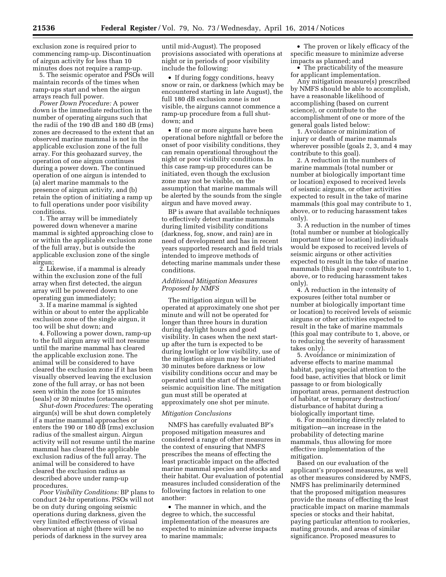exclusion zone is required prior to commencing ramp-up. Discontinuation of airgun activity for less than 10 minutes does not require a ramp-up.

5. The seismic operator and PSOs will maintain records of the times when ramp-ups start and when the airgun arrays reach full power.

*Power Down Procedure:* A power down is the immediate reduction in the number of operating airguns such that the radii of the 190 dB and 180 dB (rms) zones are decreased to the extent that an observed marine mammal is not in the applicable exclusion zone of the full array. For this geohazard survey, the operation of one airgun continues during a power down. The continued operation of one airgun is intended to (a) alert marine mammals to the presence of airgun activity, and (b) retain the option of initiating a ramp up to full operations under poor visibility conditions.

1. The array will be immediately powered down whenever a marine mammal is sighted approaching close to or within the applicable exclusion zone of the full array, but is outside the applicable exclusion zone of the single airgun;

2. Likewise, if a mammal is already within the exclusion zone of the full array when first detected, the airgun array will be powered down to one operating gun immediately;

3. If a marine mammal is sighted within or about to enter the applicable exclusion zone of the single airgun, it too will be shut down; and

4. Following a power down, ramp-up to the full airgun array will not resume until the marine mammal has cleared the applicable exclusion zone. The animal will be considered to have cleared the exclusion zone if it has been visually observed leaving the exclusion zone of the full array, or has not been seen within the zone for 15 minutes (seals) or 30 minutes (cetaceans).

*Shut-down Procedures:* The operating airgun(s) will be shut down completely if a marine mammal approaches or enters the 190 or 180 dB (rms) exclusion radius of the smallest airgun. Airgun activity will not resume until the marine mammal has cleared the applicable exclusion radius of the full array. The animal will be considered to have cleared the exclusion radius as described above under ramp-up procedures.

*Poor Visibility Conditions:* BP plans to conduct 24-hr operations. PSOs will not be on duty during ongoing seismic operations during darkness, given the very limited effectiveness of visual observation at night (there will be no periods of darkness in the survey area

until mid-August). The proposed provisions associated with operations at night or in periods of poor visibility include the following:

• If during foggy conditions, heavy snow or rain, or darkness (which may be encountered starting in late August), the full 180 dB exclusion zone is not visible, the airguns cannot commence a ramp-up procedure from a full shutdown; and

• If one or more airguns have been operational before nightfall or before the onset of poor visibility conditions, they can remain operational throughout the night or poor visibility conditions. In this case ramp-up procedures can be initiated, even though the exclusion zone may not be visible, on the assumption that marine mammals will be alerted by the sounds from the single airgun and have moved away.

BP is aware that available techniques to effectively detect marine mammals during limited visibility conditions (darkness, fog, snow, and rain) are in need of development and has in recent years supported research and field trials intended to improve methods of detecting marine mammals under these conditions.

# *Additional Mitigation Measures Proposed by NMFS*

The mitigation airgun will be operated at approximately one shot per minute and will not be operated for longer than three hours in duration during daylight hours and good visibility. In cases when the next startup after the turn is expected to be during lowlight or low visibility, use of the mitigation airgun may be initiated 30 minutes before darkness or low visibility conditions occur and may be operated until the start of the next seismic acquisition line. The mitigation gun must still be operated at approximately one shot per minute.

# *Mitigation Conclusions*

NMFS has carefully evaluated BP's proposed mitigation measures and considered a range of other measures in the context of ensuring that NMFS prescribes the means of effecting the least practicable impact on the affected marine mammal species and stocks and their habitat. Our evaluation of potential measures included consideration of the following factors in relation to one another:

• The manner in which, and the degree to which, the successful implementation of the measures are expected to minimize adverse impacts to marine mammals;

• The proven or likely efficacy of the specific measure to minimize adverse impacts as planned; and

• The practicability of the measure for applicant implementation.

Any mitigation measure(s) prescribed by NMFS should be able to accomplish, have a reasonable likelihood of accomplishing (based on current science), or contribute to the accomplishment of one or more of the general goals listed below:

1. Avoidance or minimization of injury or death of marine mammals wherever possible (goals 2, 3, and 4 may contribute to this goal).

2. A reduction in the numbers of marine mammals (total number or number at biologically important time or location) exposed to received levels of seismic airguns, or other activities expected to result in the take of marine mammals (this goal may contribute to 1, above, or to reducing harassment takes only).

3. A reduction in the number of times (total number or number at biologically important time or location) individuals would be exposed to received levels of seismic airguns or other activities expected to result in the take of marine mammals (this goal may contribute to 1, above, or to reducing harassment takes only).

4. A reduction in the intensity of exposures (either total number or number at biologically important time or location) to received levels of seismic airguns or other activities expected to result in the take of marine mammals (this goal may contribute to 1, above, or to reducing the severity of harassment takes only).

5. Avoidance or minimization of adverse effects to marine mammal habitat, paying special attention to the food base, activities that block or limit passage to or from biologically important areas, permanent destruction of habitat, or temporary destruction/ disturbance of habitat during a biologically important time.

6. For monitoring directly related to mitigation—an increase in the probability of detecting marine mammals, thus allowing for more effective implementation of the mitigation.

Based on our evaluation of the applicant's proposed measures, as well as other measures considered by NMFS, NMFS has preliminarily determined that the proposed mitigation measures provide the means of effecting the least practicable impact on marine mammals species or stocks and their habitat, paying particular attention to rookeries, mating grounds, and areas of similar significance. Proposed measures to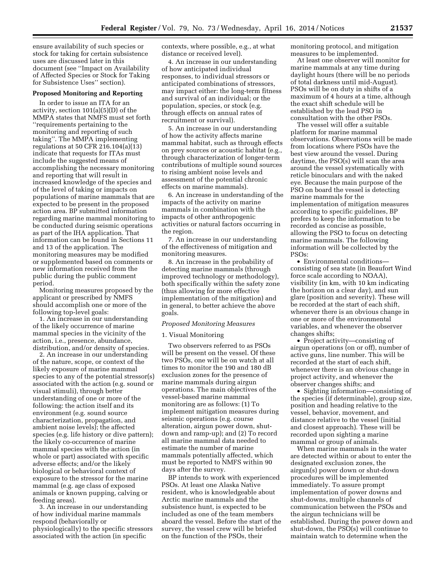ensure availability of such species or stock for taking for certain subsistence uses are discussed later in this document (see ''Impact on Availability of Affected Species or Stock for Taking for Subsistence Uses'' section).

#### **Proposed Monitoring and Reporting**

In order to issue an ITA for an activity, section 101(a)(5)(D) of the MMPA states that NMFS must set forth ''requirements pertaining to the monitoring and reporting of such taking''. The MMPA implementing regulations at 50 CFR 216.104(a)(13) indicate that requests for ITAs must include the suggested means of accomplishing the necessary monitoring and reporting that will result in increased knowledge of the species and of the level of taking or impacts on populations of marine mammals that are expected to be present in the proposed action area. BP submitted information regarding marine mammal monitoring to be conducted during seismic operations as part of the IHA application. That information can be found in Sections 11 and 13 of the application. The monitoring measures may be modified or supplemented based on comments or new information received from the public during the public comment period.

Monitoring measures proposed by the applicant or prescribed by NMFS should accomplish one or more of the following top-level goals:

1. An increase in our understanding of the likely occurrence of marine mammal species in the vicinity of the action, i.e., presence, abundance, distribution, and/or density of species.

2. An increase in our understanding of the nature, scope, or context of the likely exposure of marine mammal species to any of the potential stressor(s) associated with the action (e.g. sound or visual stimuli), through better understanding of one or more of the following: the action itself and its environment (e.g. sound source characterization, propagation, and ambient noise levels); the affected species (e.g. life history or dive pattern); the likely co-occurrence of marine mammal species with the action (in whole or part) associated with specific adverse effects; and/or the likely biological or behavioral context of exposure to the stressor for the marine mammal (e.g. age class of exposed animals or known pupping, calving or feeding areas).

3. An increase in our understanding of how individual marine mammals respond (behaviorally or physiologically) to the specific stressors associated with the action (in specific

contexts, where possible, e.g., at what distance or received level).

4. An increase in our understanding of how anticipated individual responses, to individual stressors or anticipated combinations of stressors, may impact either: the long-term fitness and survival of an individual; or the population, species, or stock (e.g. through effects on annual rates of recruitment or survival).

5. An increase in our understanding of how the activity affects marine mammal habitat, such as through effects on prey sources or acoustic habitat (e.g., through characterization of longer-term contributions of multiple sound sources to rising ambient noise levels and assessment of the potential chronic effects on marine mammals).

6. An increase in understanding of the impacts of the activity on marine mammals in combination with the impacts of other anthropogenic activities or natural factors occurring in the region.

7. An increase in our understanding of the effectiveness of mitigation and monitoring measures.

8. An increase in the probability of detecting marine mammals (through improved technology or methodology), both specifically within the safety zone (thus allowing for more effective implementation of the mitigation) and in general, to better achieve the above goals.

#### *Proposed Monitoring Measures*

# 1. Visual Monitoring

Two observers referred to as PSOs will be present on the vessel. Of these two PSOs, one will be on watch at all times to monitor the 190 and 180 dB exclusion zones for the presence of marine mammals during airgun operations. The main objectives of the vessel-based marine mammal monitoring are as follows: (1) To implement mitigation measures during seismic operations (e.g. course alteration, airgun power down, shutdown and ramp-up); and (2) To record all marine mammal data needed to estimate the number of marine mammals potentially affected, which must be reported to NMFS within 90 days after the survey.

BP intends to work with experienced PSOs. At least one Alaska Native resident, who is knowledgeable about Arctic marine mammals and the subsistence hunt, is expected to be included as one of the team members aboard the vessel. Before the start of the survey, the vessel crew will be briefed on the function of the PSOs, their

monitoring protocol, and mitigation measures to be implemented.

At least one observer will monitor for marine mammals at any time during daylight hours (there will be no periods of total darkness until mid-August). PSOs will be on duty in shifts of a maximum of 4 hours at a time, although the exact shift schedule will be established by the lead PSO in consultation with the other PSOs.

The vessel will offer a suitable platform for marine mammal observations. Observations will be made from locations where PSOs have the best view around the vessel. During daytime, the PSO(s) will scan the area around the vessel systematically with reticle binoculars and with the naked eye. Because the main purpose of the PSO on board the vessel is detecting marine mammals for the implementation of mitigation measures according to specific guidelines, BP prefers to keep the information to be recorded as concise as possible, allowing the PSO to focus on detecting marine mammals. The following information will be collected by the PSOs:

• Environmental conditions consisting of sea state (in Beaufort Wind force scale according to NOAA), visibility (in km, with 10 km indicating the horizon on a clear day), and sun glare (position and severity). These will be recorded at the start of each shift, whenever there is an obvious change in one or more of the environmental variables, and whenever the observer changes shifts;

• Project activity—consisting of airgun operations (on or off), number of active guns, line number. This will be recorded at the start of each shift, whenever there is an obvious change in project activity, and whenever the observer changes shifts; and

• Sighting information—consisting of the species (if determinable), group size, position and heading relative to the vessel, behavior, movement, and distance relative to the vessel (initial and closest approach). These will be recorded upon sighting a marine mammal or group of animals.

When marine mammals in the water are detected within or about to enter the designated exclusion zones, the airgun(s) power down or shut-down procedures will be implemented immediately. To assure prompt implementation of power downs and shut-downs, multiple channels of communication between the PSOs and the airgun technicians will be established. During the power down and shut-down, the PSO(s) will continue to maintain watch to determine when the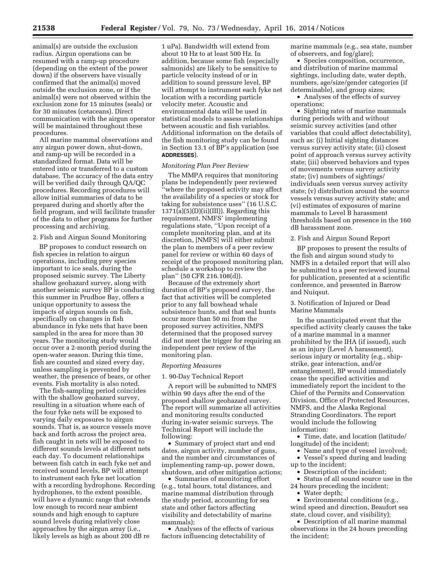animal(s) are outside the exclusion radius. Airgun operations can be resumed with a ramp-up procedure (depending on the extent of the power down) if the observers have visually confirmed that the animal(s) moved outside the exclusion zone, or if the animal(s) were not observed within the exclusion zone for 15 minutes (seals) or for 30 minutes (cetaceans). Direct communication with the airgun operator will be maintained throughout these procedures.

All marine mammal observations and any airgun power down, shut-down, and ramp-up will be recorded in a standardized format. Data will be entered into or transferred to a custom database. The accuracy of the data entry will be verified daily through QA/QC procedures. Recording procedures will allow initial summaries of data to be prepared during and shortly after the field program, and will facilitate transfer of the data to other programs for further processing and archiving.

2. Fish and Airgun Sound Monitoring

BP proposes to conduct research on fish species in relation to airgun operations, including prey species important to ice seals, during the proposed seismic survey. The Liberty shallow geohazard survey, along with another seismic survey BP is conducting this summer in Prudhoe Bay, offers a unique opportunity to assess the impacts of airgun sounds on fish, specifically on changes in fish abundance in fyke nets that have been sampled in the area for more than 30 years. The monitoring study would occur over a 2-month period during the open-water season. During this time, fish are counted and sized every day, unless sampling is prevented by weather, the presence of bears, or other events. Fish mortality is also noted.

The fish-sampling period coincides with the shallow geohazard survey, resulting in a situation where each of the four fyke nets will be exposed to varying daily exposures to airgun sounds. That is, as source vessels move back and forth across the project area, fish caught in nets will be exposed to different sounds levels at different nets each day. To document relationships between fish catch in each fyke net and received sound levels, BP will attempt to instrument each fyke net location with a recording hydrophone. Recording hydrophones, to the extent possible, will have a dynamic range that extends low enough to record near ambient sounds and high enough to capture sound levels during relatively close approaches by the airgun array (i.e., likely levels as high as about 200 dB re

1 uPa). Bandwidth will extend from about 10 Hz to at least 500 Hz. In addition, because some fish (especially salmonids) are likely to be sensitive to particle velocity instead of or in addition to sound pressure level, BP will attempt to instrument each fyke net location with a recording particle velocity meter. Acoustic and environmental data will be used in statistical models to assess relationships between acoustic and fish variables. Additional information on the details of the fish monitoring study can be found in Section 13.1 of BP's application (see **ADDRESSES**).

#### *Monitoring Plan Peer Review*

The MMPA requires that monitoring plans be independently peer reviewed ''where the proposed activity may affect the availability of a species or stock for taking for subsistence uses'' (16 U.S.C.  $1371(a)(5)(D)(ii)(III)$ . Regarding this requirement, NMFS' implementing regulations state, ''Upon receipt of a complete monitoring plan, and at its discretion, [NMFS] will either submit the plan to members of a peer review panel for review or within 60 days of receipt of the proposed monitoring plan, schedule a workshop to review the plan'' (50 CFR 216.108(d)).

Because of the extremely short duration of BP's proposed survey, the fact that activities will be completed prior to any fall bowhead whale subsistence hunts, and that seal hunts occur more than 50 mi from the proposed survey activities, NMFS determined that the proposed survey did not meet the trigger for requiring an independent peer review of the monitoring plan.

#### *Reporting Measures*

1. 90-Day Technical Report

A report will be submitted to NMFS within 90 days after the end of the proposed shallow geohazard survey. The report will summarize all activities and monitoring results conducted during in-water seismic surveys. The Technical Report will include the following:

• Summary of project start and end dates, airgun activity, number of guns, and the number and circumstances of implementing ramp-up, power down, shutdown, and other mitigation actions;

• Summaries of monitoring effort (e.g., total hours, total distances, and marine mammal distribution through the study period, accounting for sea state and other factors affecting visibility and detectability of marine mammals);

• Analyses of the effects of various factors influencing detectability of

marine mammals (e.g., sea state, number of observers, and fog/glare);

• Species composition, occurrence, and distribution of marine mammal sightings, including date, water depth, numbers, age/size/gender categories (if determinable), and group sizes;

• Analyses of the effects of survey operations;

• Sighting rates of marine mammals during periods with and without seismic survey activities (and other variables that could affect detectability), such as: (i) Initial sighting distances versus survey activity state; (ii) closest point of approach versus survey activity state; (iii) observed behaviors and types of movements versus survey activity state; (iv) numbers of sightings/ individuals seen versus survey activity state; (v) distribution around the source vessels versus survey activity state; and (vi) estimates of exposures of marine mammals to Level B harassment thresholds based on presence in the 160 dB harassment zone.

# 2. Fish and Airgun Sound Report

BP proposes to present the results of the fish and airgun sound study to NMFS in a detailed report that will also be submitted to a peer reviewed journal for publication, presented at a scientific conference, and presented in Barrow and Nuiqsut.

#### 3. Notification of Injured or Dead Marine Mammals

In the unanticipated event that the specified activity clearly causes the take of a marine mammal in a manner prohibited by the IHA (if issued), such as an injury (Level A harassment), serious injury or mortality (e.g., shipstrike, gear interaction, and/or entanglement), BP would immediately cease the specified activities and immediately report the incident to the Chief of the Permits and Conservation Division, Office of Protected Resources, NMFS, and the Alaska Regional Stranding Coordinators. The report would include the following information:

• Time, date, and location (latitude/ longitude) of the incident;

• Name and type of vessel involved; • Vessel's speed during and leading up to the incident;

• Description of the incident;

• Status of all sound source use in the 24 hours preceding the incident;

• Water depth;

• Environmental conditions (e.g., wind speed and direction, Beaufort sea state, cloud cover, and visibility);

• Description of all marine mammal observations in the 24 hours preceding the incident;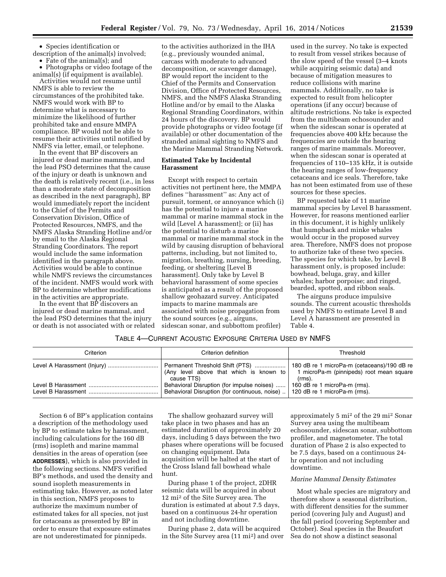• Species identification or description of the animal(s) involved;

• Fate of the animal(s); and

• Photographs or video footage of the animal(s) (if equipment is available).

Activities would not resume until NMFS is able to review the circumstances of the prohibited take. NMFS would work with BP to determine what is necessary to minimize the likelihood of further prohibited take and ensure MMPA compliance. BP would not be able to resume their activities until notified by NMFS via letter, email, or telephone.

In the event that BP discovers an injured or dead marine mammal, and the lead PSO determines that the cause of the injury or death is unknown and the death is relatively recent (i.e., in less than a moderate state of decomposition as described in the next paragraph), BP would immediately report the incident to the Chief of the Permits and Conservation Division, Office of Protected Resources, NMFS, and the NMFS Alaska Stranding Hotline and/or by email to the Alaska Regional Stranding Coordinators. The report would include the same information identified in the paragraph above. Activities would be able to continue while NMFS reviews the circumstances of the incident. NMFS would work with BP to determine whether modifications in the activities are appropriate.

In the event that BP discovers an injured or dead marine mammal, and the lead PSO determines that the injury or death is not associated with or related

to the activities authorized in the IHA (e.g., previously wounded animal, carcass with moderate to advanced decomposition, or scavenger damage), BP would report the incident to the Chief of the Permits and Conservation Division, Office of Protected Resources, NMFS, and the NMFS Alaska Stranding Hotline and/or by email to the Alaska Regional Stranding Coordinators, within 24 hours of the discovery. BP would provide photographs or video footage (if available) or other documentation of the stranded animal sighting to NMFS and the Marine Mammal Stranding Network.

# **Estimated Take by Incidental Harassment**

Except with respect to certain activities not pertinent here, the MMPA defines ''harassment'' as: Any act of pursuit, torment, or annoyance which (i) has the potential to injure a marine mammal or marine mammal stock in the wild [Level A harassment]; or (ii) has the potential to disturb a marine mammal or marine mammal stock in the wild by causing disruption of behavioral patterns, including, but not limited to, migration, breathing, nursing, breeding, feeding, or sheltering [Level B harassment]. Only take by Level B behavioral harassment of some species is anticipated as a result of the proposed shallow geohazard survey. Anticipated impacts to marine mammals are associated with noise propagation from the sound sources (e.g., airguns, sidescan sonar, and subbottom profiler)

used in the survey. No take is expected to result from vessel strikes because of the slow speed of the vessel (3–4 knots while acquiring seismic data) and because of mitigation measures to reduce collisions with marine mammals. Additionally, no take is expected to result from helicopter operations (if any occur) because of altitude restrictions. No take is expected from the multibeam echosounder and when the sidescan sonar is operated at frequencies above 400 kHz because the frequencies are outside the hearing ranges of marine mammals. Moreover, when the sidescan sonar is operated at frequencies of 110–135 kHz, it is outside the hearing ranges of low-frequency cetaceans and ice seals. Therefore, take has not been estimated from use of these sources for these species.

BP requested take of 11 marine mammal species by Level B harassment. However, for reasons mentioned earlier in this document, it is highly unlikely that humpback and minke whales would occur in the proposed survey area. Therefore, NMFS does not propose to authorize take of these two species. The species for which take, by Level B harassment only, is proposed include: bowhead, beluga, gray, and killer whales; harbor porpoise; and ringed, bearded, spotted, and ribbon seals.

The airguns produce impulsive sounds. The current acoustic thresholds used by NMFS to estimate Level B and Level A harassment are presented in Table 4.

# TABLE 4—CURRENT ACOUSTIC EXPOSURE CRITERIA USED BY NMFS

| Criterion          | Criterion definition                                                                                                                                        | Threshold                                                                                            |
|--------------------|-------------------------------------------------------------------------------------------------------------------------------------------------------------|------------------------------------------------------------------------------------------------------|
|                    | Permanent Threshold Shift (PTS)<br>(Any level above that which is known to $\vert$<br>cause TTS)                                                            | 180 dB re 1 microPa-m (cetaceans)/190 dB re<br>1 microPa-m (pinnipeds) root mean square<br>$(rms)$ . |
| Level B Harassment | Behavioral Disruption (for impulse noises)    160 dB re 1 microPa-m (rms).<br>Behavioral Disruption (for continuous, noise)    120 dB re 1 microPa-m (rms). |                                                                                                      |

Section 6 of BP's application contains a description of the methodology used by BP to estimate takes by harassment, including calculations for the 160 dB (rms) isopleth and marine mammal densities in the areas of operation (see **ADDRESSES**), which is also provided in the following sections. NMFS verified BP's methods, and used the density and sound isopleth measurements in estimating take. However, as noted later in this section, NMFS proposes to authorize the maximum number of estimated takes for all species, not just for cetaceans as presented by BP in order to ensure that exposure estimates are not underestimated for pinnipeds.

The shallow geohazard survey will take place in two phases and has an estimated duration of approximately 20 days, including 5 days between the two phases where operations will be focused on changing equipment. Data acquisition will be halted at the start of the Cross Island fall bowhead whale hunt.

During phase 1 of the project, 2DHR seismic data will be acquired in about 12 mi2 of the Site Survey area. The duration is estimated at about 7.5 days, based on a continuous 24-hr operation and not including downtime.

During phase 2, data will be acquired in the Site Survey area (11 mi2) and over

approximately 5 mi2 of the 29 mi2 Sonar Survey area using the multibeam echosounder, sidescan sonar, subbottom profiler, and magnetometer. The total duration of Phase 2 is also expected to be 7.5 days, based on a continuous 24 hr operation and not including downtime.

#### *Marine Mammal Density Estimates*

Most whale species are migratory and therefore show a seasonal distribution, with different densities for the summer period (covering July and August) and the fall period (covering September and October). Seal species in the Beaufort Sea do not show a distinct seasonal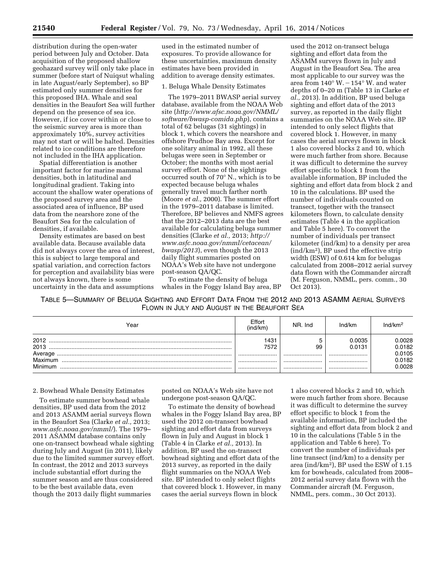distribution during the open-water period between July and October. Data acquisition of the proposed shallow geohazard survey will only take place in summer (before start of Nuiqsut whaling in late August/early September), so BP estimated only summer densities for this proposed IHA. Whale and seal densities in the Beaufort Sea will further depend on the presence of sea ice. However, if ice cover within or close to the seismic survey area is more than approximately 10%, survey activities may not start or will be halted. Densities related to ice conditions are therefore not included in the IHA application.

Spatial differentiation is another important factor for marine mammal densities, both in latitudinal and longitudinal gradient. Taking into account the shallow water operations of the proposed survey area and the associated area of influence, BP used data from the nearshore zone of the Beaufort Sea for the calculation of densities, if available.

Density estimates are based on best available data. Because available data did not always cover the area of interest, this is subject to large temporal and spatial variation, and correction factors for perception and availability bias were not always known, there is some uncertainty in the data and assumptions

used in the estimated number of exposures. To provide allowance for these uncertainties, maximum density estimates have been provided in addition to average density estimates.

#### 1. Beluga Whale Density Estimates

The 1979–2011 BWASP aerial survey database, available from the NOAA Web site (*[http://www.afsc.noaa.gov/NMML/](http://www.afsc.noaa.gov/NMML/software/bwasp-comida.php) [software/bwasp-comida.php](http://www.afsc.noaa.gov/NMML/software/bwasp-comida.php)*), contains a total of 62 belugas (31 sightings) in block 1, which covers the nearshore and offshore Prudhoe Bay area. Except for one solitary animal in 1992, all these belugas were seen in September or October; the months with most aerial survey effort. None of the sightings occurred south of 70° N., which is to be expected because beluga whales generally travel much farther north (Moore *et al.,* 2000). The summer effort in the 1979–2011 database is limited. Therefore, BP believes and NMFS agrees that the 2012–2013 data are the best available for calculating beluga summer densities (Clarke *et al.,* 2013; *[http://](http://www.asfc.noaa.gov/nmml/cetacean/bwasp/2013) [www.asfc.noaa.gov/nmml/cetacean/](http://www.asfc.noaa.gov/nmml/cetacean/bwasp/2013) [bwasp/2013](http://www.asfc.noaa.gov/nmml/cetacean/bwasp/2013)*), even though the 2013 daily flight summaries posted on NOAA's Web site have not undergone post-season QA/QC.

To estimate the density of beluga whales in the Foggy Island Bay area, BP

used the 2012 on-transect beluga sighting and effort data from the ASAMM surveys flown in July and August in the Beaufort Sea. The area most applicable to our survey was the area from  $140^\circ$  W.  $-154^\circ$  W. and water depths of 0–20 m (Table 13 in Clarke *et al.,* 2013). In addition, BP used beluga sighting and effort data of the 2013 survey, as reported in the daily flight summaries on the NOAA Web site. BP intended to only select flights that covered block 1. However, in many cases the aerial surveys flown in block 1 also covered blocks 2 and 10, which were much farther from shore. Because it was difficult to determine the survey effort specific to block 1 from the available information, BP included the sighting and effort data from block 2 and 10 in the calculations. BP used the number of individuals counted on transect, together with the transect kilometers flown, to calculate density estimates (Table 4 in the application and Table 5 here). To convert the number of individuals per transect kilometer (ind/km) to a density per area (ind/km2), BP used the effective strip width (ESW) of 0.614 km for belugas calculated from 2008–2012 aerial survey data flown with the Commander aircraft (M. Ferguson, NMML, pers. comm., 30 Oct 2013).

TABLE 5—SUMMARY OF BELUGA SIGHTING AND EFFORT DATA FROM THE 2012 AND 2013 ASAMM AERIAL SURVEYS FLOWN IN JULY AND AUGUST IN THE BEAUFORT SEA

| Year                    | Effort<br>(ind/km) | NR. Ind | Ind/km               | Ind/km²                    |
|-------------------------|--------------------|---------|----------------------|----------------------------|
| 2012<br>2013<br>Average | 1431<br>7572<br>   | 99<br>  | 0.0035<br>0.0131<br> | 0.0028<br>0.0182<br>0.0105 |
| Maximum<br>Minimum      | <br>               | <br>    | <br>                 | 0.0182<br>0.0028           |

#### 2. Bowhead Whale Density Estimates

To estimate summer bowhead whale densities, BP used data from the 2012 and 2013 ASAMM aerial surveys flown in the Beaufort Sea (Clarke *et al.,* 2013; *[www.asfc.noaa.gov/nmml/](http://www.asfc.noaa.gov/nmml/)*). The 1979– 2011 ASAMM database contains only one on-transect bowhead whale sighting during July and August (in 2011), likely due to the limited summer survey effort. In contrast, the 2012 and 2013 surveys include substantial effort during the summer season and are thus considered to be the best available data, even though the 2013 daily flight summaries

posted on NOAA's Web site have not undergone post-season QA/QC.

To estimate the density of bowhead whales in the Foggy Island Bay area, BP used the 2012 on-transect bowhead sighting and effort data from surveys flown in July and August in block 1 (Table 4 in Clarke *et al.,* 2013). In addition, BP used the on-transect bowhead sighting and effort data of the 2013 survey, as reported in the daily flight summaries on the NOAA Web site. BP intended to only select flights that covered block 1. However, in many cases the aerial surveys flown in block

1 also covered blocks 2 and 10, which were much farther from shore. Because it was difficult to determine the survey effort specific to block 1 from the available information, BP included the sighting and effort data from block 2 and 10 in the calculations (Table 5 in the application and Table 6 here). To convert the number of individuals per line transect (ind/km) to a density per area (ind/km2), BP used the ESW of 1.15 km for bowheads, calculated from 2008– 2012 aerial survey data flown with the Commander aircraft (M. Ferguson, NMML, pers. comm., 30 Oct 2013).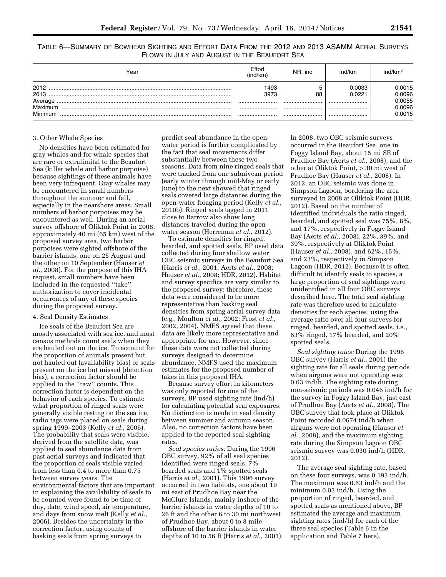TABLE 6—SUMMARY OF BOWHEAD SIGHTING AND EFFORT DATA FROM THE 2012 AND 2013 ASAMM AERIAL SURVEYS FLOWN IN JULY AND AUGUST IN THE BEAUFORT SEA

| Year                               | Effort<br>(ind/km) | NR. ind | Ind/km               | Ind/km <sup>2</sup>                  |
|------------------------------------|--------------------|---------|----------------------|--------------------------------------|
| 2012<br>2013<br>Average<br>Maximum | 493<br>3973<br>    | 88<br>  | 0.0033<br>0.0221<br> | 0.0015<br>0.0096<br>0.0055<br>0.0096 |
| Minimum                            | <br>               | <br>    | <br>                 | 0.0015                               |

#### 3. Other Whale Species

No densities have been estimated for gray whales and for whale species that are rare or extralimital to the Beaufort Sea (killer whale and harbor porpoise) because sightings of these animals have been very infrequent. Gray whales may be encountered in small numbers throughout the summer and fall, especially in the nearshore areas. Small numbers of harbor porpoises may be encountered as well. During an aerial survey offshore of Oliktok Point in 2008, approximately 40 mi (65 km) west of the proposed survey area, two harbor porpoises were sighted offshore of the barrier islands, one on 25 August and the other on 10 September (Hauser *et al.,* 2008). For the purpose of this IHA request, small numbers have been included in the requested ''take'' authorization to cover incidental occurrences of any of these species during the proposed survey.

#### 4. Seal Density Estimates

Ice seals of the Beaufort Sea are mostly associated with sea ice, and most census methods count seals when they are hauled out on the ice. To account for the proportion of animals present but not hauled out (availability bias) or seals present on the ice but missed (detection bias), a correction factor should be applied to the ''raw'' counts. This correction factor is dependent on the behavior of each species. To estimate what proportion of ringed seals were generally visible resting on the sea ice, radio tags were placed on seals during spring 1999–2003 (Kelly *et al.,* 2006). The probability that seals were visible, derived from the satellite data, was applied to seal abundance data from past aerial surveys and indicated that the proportion of seals visible varied from less than 0.4 to more than 0.75 between survey years. The environmental factors that are important in explaining the availability of seals to be counted were found to be time of day, date, wind speed, air temperature, and days from snow melt (Kelly *et al.,*  2006). Besides the uncertainty in the correction factor, using counts of basking seals from spring surveys to

predict seal abundance in the openwater period is further complicated by the fact that seal movements differ substantially between these two seasons. Data from nine ringed seals that were tracked from one subnivean period (early winter through mid-May or early June) to the next showed that ringed seals covered large distances during the open-water foraging period (Kelly *et al.,*  2010b). Ringed seals tagged in 2011 close to Barrow also show long distances traveled during the openwater season (Herreman *et al.,* 2012).

To estimate densities for ringed, bearded, and spotted seals, BP used data collected during four shallow water OBC seismic surveys in the Beaufort Sea (Harris *et al.,* 2001; Aerts *et al.,* 2008; Hauser *et al.,* 2008; HDR, 2012). Habitat and survey specifics are very similar to the proposed survey; therefore, these data were considered to be more representative than basking seal densities from spring aerial survey data (e.g., Moulton *et al.,* 2002; Frost *et al.,*  2002, 2004). NMFS agreed that these data are likely more representative and appropriate for use. However, since these data were not collected during surveys designed to determine abundance, NMFS used the maximum estimates for the proposed number of takes in this proposed IHA.

Because survey effort in kilometers was only reported for one of the surveys, BP used sighting rate (ind/h) for calculating potential seal exposures. No distinction is made in seal density between summer and autumn season. Also, no correction factors have been applied to the reported seal sighting rates.

*Seal species ratios:* During the 1996 OBC survey, 92% of all seal species identified were ringed seals, 7% bearded seals and 1% spotted seals (Harris *et al.,* 2001). This 1996 survey occurred in two habitats, one about 19 mi east of Prudhoe Bay near the McClure Islands, mainly inshore of the barrier islands in water depths of 10 to 26 ft and the other 6 to 30 mi northwest of Prudhoe Bay, about 0 to 8 mile offshore of the barrier islands in water depths of 10 to 56 ft (Harris *et al.,* 2001). In 2008, two OBC seismic surveys occurred in the Beaufort Sea, one in Foggy Island Bay, about 15 mi SE of Prudhoe Bay (Aerts *et al.,* 2008), and the other at Oliktok Point, > 30 mi west of Prudhoe Bay (Hauser *et al.,* 2008). In 2012, an OBC seismic was done in Simpson Lagoon, bordering the area surveyed in 2008 at Oliktok Point (HDR, 2012). Based on the number of identified individuals the ratio ringed, bearded, and spotted seal was 75%, 8%, and 17%, respectively in Foggy Island Bay (Aerts *et al.,* 2008), 22%, 39%, and 39%, respectively at Oliktok Point (Hauser *et al.,* 2008), and 62%, 15%, and 23%, respectively in Simpson Lagoon (HDR, 2012). Because it is often difficult to identify seals to species, a large proportion of seal sightings were unidentified in all four OBC surveys described here. The total seal sighting rate was therefore used to calculate densities for each species, using the average ratio over all four surveys for ringed, bearded, and spotted seals, i.e., 63% ringed, 17% bearded, and 20% spotted seals.

*Seal sighting rates:* During the 1996 OBC survey (Harris *et al.,* 2001) the sighting rate for all seals during periods when airguns were not operating was 0.63 ind/h. The sighting rate during non-seismic periods was 0.046 ind/h for the survey in Foggy Island Bay, just east of Prudhoe Bay (Aerts *et al.,* 2008). The OBC survey that took place at Oliktok Point recorded 0.0674 ind/h when airguns were not operating (Hauser *et al.,* 2008), and the maximum sighting rate during the Simpson Lagoon OBC seismic survey was 0.030 ind/h (HDR, 2012).

The average seal sighting rate, based on these four surveys, was 0.193 ind/h. The maximum was 0.63 ind/h and the minimum 0.03 ind/h. Using the proportion of ringed, bearded, and spotted seals as mentioned above, BP estimated the average and maximum sighting rates (ind/h) for each of the three seal species (Table 6 in the application and Table 7 here).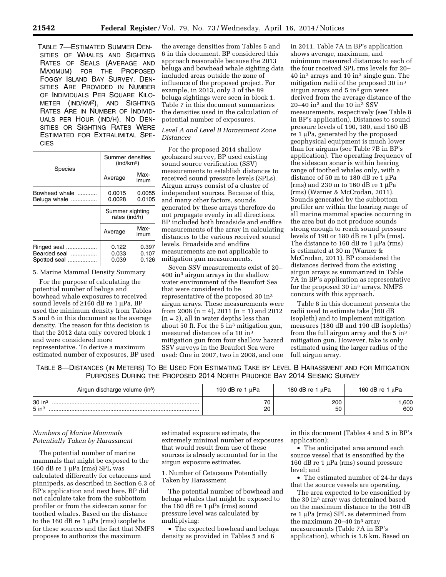TABLE 7—ESTIMATED SUMMER DEN-SITIES OF WHALES AND SIGHTING RATES OF SEALS (AVERAGE AND MAXIMUM) FOR THE PROPOSED FOGGY ISLAND BAY SURVEY. DEN-SITIES ARE PROVIDED IN NUMBER OF INDIVIDUALS PER SQUARE KILO-METER (IND/KM2), AND SIGHTING RATES ARE IN NUMBER OF INDIVID-UALS PER HOUR (IND/H). NO DEN-SITIES OR SIGHTING RATES WERE ESTIMATED FOR EXTRALIMITAL SPE-CIES

| Species                                          | Summer densities<br>(ind/km <sup>2</sup> ) |                         |  |
|--------------------------------------------------|--------------------------------------------|-------------------------|--|
|                                                  | Average                                    | Max-<br>imum            |  |
| Bowhead whale<br>Beluga whale                    | 0.0015<br>0.0028                           | 0.0055<br>0.0105        |  |
|                                                  | Summer sighting<br>rates (ind/h)           |                         |  |
|                                                  | Average                                    | Max-<br>imum            |  |
| Ringed seal<br>Bearded seal<br>Spotted seal<br>. | 0.122<br>0.033<br>0.039                    | 0.397<br>0.107<br>0.126 |  |

5. Marine Mammal Density Summary

For the purpose of calculating the potential number of beluga and bowhead whale exposures to received sound levels of  $\geq 160$  dB re 1 µPa, BP used the minimum density from Tables 5 and 6 in this document as the average density. The reason for this decision is that the 2012 data only covered block 1 and were considered more representative. To derive a maximum estimated number of exposures, BP used the average densities from Tables 5 and 6 in this document. BP considered this approach reasonable because the 2013 beluga and bowhead whale sighting data included areas outside the zone of influence of the proposed project. For example, in 2013, only 3 of the 89 beluga sightings were seen in block 1. Table 7 in this document summarizes the densities used in the calculation of potential number of exposures.

# *Level A and Level B Harassment Zone Distances*

For the proposed 2014 shallow geohazard survey, BP used existing sound source verification (SSV) measurements to establish distances to received sound pressure levels (SPLs). Airgun arrays consist of a cluster of independent sources. Because of this, and many other factors, sounds generated by these arrays therefore do not propagate evenly in all directions. BP included both broadside and endfire measurements of the array in calculating distances to the various received sound levels. Broadside and endfire measurements are not applicable to mitigation gun measurements.

Seven SSV measurements exist of 20– 400 in3 airgun arrays in the shallow water environment of the Beaufort Sea that were considered to be representative of the proposed 30 in3 airgun arrays. These measurements were from 2008 (n = 4), 2011 (n = 1) and 2012  $(n = 2)$ , all in water depths less than about 50 ft. For the 5 in<sup>3</sup> mitigation gun, measured distances of a 10 in3 mitigation gun from four shallow hazard SSV surveys in the Beaufort Sea were used: One in 2007, two in 2008, and one

in 2011. Table 7A in BP's application shows average, maximum, and minimum measured distances to each of the four received SPL rms levels for 20– 40 in3 arrays and 10 in3 single gun. The mitigation radii of the proposed 30 in3 airgun arrays and  $5 \text{ in}^3$  gun were derived from the average distance of the 20–40 in3 and the 10 in3 SSV measurements, respectively (see Table 8 in BP's application). Distances to sound pressure levels of 190, 180, and 160 dB re  $1 \mu Pa$ , generated by the proposed geophysical equipment is much lower than for airguns (see Table 7B in BP's application). The operating frequency of the sidescan sonar is within hearing range of toothed whales only, with a distance of 50 m to 180 dB re 1  $\mu$ Pa (rms) and 230 m to 160 dB re 1  $\mu$ Pa (rms) (Warner & McCrodan, 2011). Sounds generated by the subbottom profiler are within the hearing range of all marine mammal species occurring in the area but do not produce sounds strong enough to reach sound pressure levels of 190 or 180 dB re 1  $\mu$ Pa (rms). The distance to 160 dB re 1  $\mu$ Pa (rms) is estimated at 30 m (Warner & McCrodan, 2011). BP considered the distances derived from the existing airgun arrays as summarized in Table 7A in BP's application as representative for the proposed  $30 \text{ in}^3$  arrays. NMFS concurs with this approach.

Table 8 in this document presents the radii used to estimate take (160 dB isopleth) and to implement mitigation measures (180 dB and 190 dB isopleths) from the full airgun array and the 5 in<sup>3</sup> mitigation gun. However, take is only estimated using the larger radius of the full airgun array.

TABLE 8—DISTANCES (IN METERS) TO BE USED FOR ESTIMATING TAKE BY LEVEL B HARASSMENT AND FOR MITIGATION PURPOSES DURING THE PROPOSED 2014 NORTH PRUDHOE BAY 2014 SEISMIC SURVEY

| Airgun discharge volume (in <sup>3</sup> ) | 190 dB re $1 \mu$ Pa | 180 dB re $1 \mu Pa$ | 160 dB re 1 $\mu$ Pa |
|--------------------------------------------|----------------------|----------------------|----------------------|
| $30$ in <sup>3</sup><br>$5$ in $3$         | 70<br>20             | 200<br>50            | .600<br>600          |

# *Numbers of Marine Mammals Potentially Taken by Harassment*

The potential number of marine mammals that might be exposed to the 160 dB re 1  $\mu$ Pa (rms) SPL was calculated differently for cetaceans and pinnipeds, as described in Section 6.3 of BP's application and next here. BP did not calculate take from the subbottom profiler or from the sidescan sonar for toothed whales. Based on the distance to the 160 dB re 1  $\mu$ Pa (rms) isopleths for these sources and the fact that NMFS proposes to authorize the maximum

estimated exposure estimate, the extremely minimal number of exposures that would result from use of these sources is already accounted for in the airgun exposure estimates.

1. Number of Cetaceans Potentially Taken by Harassment

The potential number of bowhead and beluga whales that might be exposed to the 160 dB re 1  $\mu$ Pa (rms) sound pressure level was calculated by multiplying:

• The expected bowhead and beluga density as provided in Tables 5 and 6

in this document (Tables 4 and 5 in BP's application);

• The anticipated area around each source vessel that is ensonified by the 160 dB re 1  $\mu$ Pa (rms) sound pressure level; and

• The estimated number of 24-hr days that the source vessels are operating.

The area expected to be ensonified by the 30 in3 array was determined based on the maximum distance to the 160 dB re 1 μPa (rms) SPL as determined from the maximum 20–40 in3 array measurements (Table 7A in BP's application), which is 1.6 km. Based on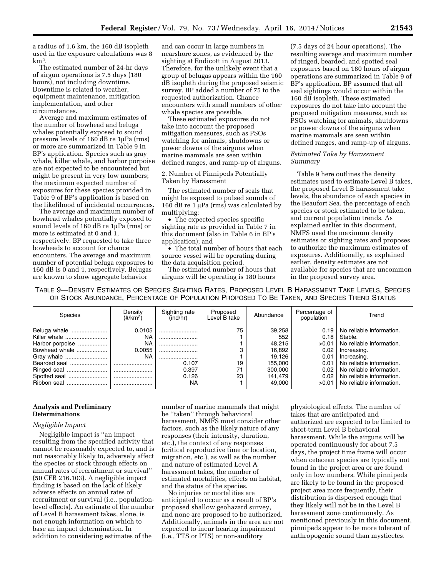a radius of 1.6 km, the 160 dB isopleth used in the exposure calculations was 8 km2.

The estimated number of 24-hr days of airgun operations is 7.5 days (180 hours), not including downtime. Downtime is related to weather, equipment maintenance, mitigation implementation, and other circumstances.

Average and maximum estimates of the number of bowhead and beluga whales potentially exposed to sound pressure levels of 160 dB re 1µPa (rms) or more are summarized in Table 9 in BP's application. Species such as gray whale, killer whale, and harbor porpoise are not expected to be encountered but might be present in very low numbers; the maximum expected number of exposures for these species provided in Table 9 of BP's application is based on the likelihood of incidental occurrences.

The average and maximum number of bowhead whales potentially exposed to sound levels of 160 dB re 1µPa (rms) or more is estimated at 0 and 1, respectively. BP requested to take three bowheads to account for chance encounters. The average and maximum number of potential beluga exposures to 160 dB is 0 and 1, respectively. Belugas are known to show aggregate behavior

and can occur in large numbers in nearshore zones, as evidenced by the sighting at Endicott in August 2013. Therefore, for the unlikely event that a group of belugas appears within the 160 dB isopleth during the proposed seismic survey, BP added a number of 75 to the requested authorization. Chance encounters with small numbers of other whale species are possible.

These estimated exposures do not take into account the proposed mitigation measures, such as PSOs watching for animals, shutdowns or power downs of the airguns when marine mammals are seen within defined ranges, and ramp-up of airguns.

2. Number of Pinnipeds Potentially Taken by Harassment

The estimated number of seals that might be exposed to pulsed sounds of 160 dB re 1  $\mu$ Pa (rms) was calculated by multiplying:

• The expected species specific sighting rate as provided in Table 7 in this document (also in Table 6 in BP's application); and

• The total number of hours that each source vessel will be operating during the data acquisition period.

The estimated number of hours that airguns will be operating is 180 hours

(7.5 days of 24 hour operations). The resulting average and maximum number of ringed, bearded, and spotted seal exposures based on 180 hours of airgun operations are summarized in Table 9 of BP's application. BP assumed that all seal sightings would occur within the 160 dB isopleth. These estimated exposures do not take into account the proposed mitigation measures, such as PSOs watching for animals, shutdowns or power downs of the airguns when marine mammals are seen within defined ranges, and ramp-up of airguns.

# *Estimated Take by Harassment Summary*

Table 9 here outlines the density estimates used to estimate Level B takes, the proposed Level B harassment take levels, the abundance of each species in the Beaufort Sea, the percentage of each species or stock estimated to be taken, and current population trends. As explained earlier in this document, NMFS used the maximum density estimates or sighting rates and proposes to authorize the maximum estimates of exposures. Additionally, as explained earlier, density estimates are not available for species that are uncommon in the proposed survey area.

TABLE 9—DENSITY ESTIMATES OR SPECIES SIGHTING RATES, PROPOSED LEVEL B HARASSMENT TAKE LEVELS, SPECIES OR STOCK ABUNDANCE, PERCENTAGE OF POPULATION PROPOSED TO BE TAKEN, AND SPECIES TREND STATUS

| Species         | Density<br>$(\#/\text{km}^2)$ | Sighting rate<br>(ind/hr) | Proposed<br>Level B take | Abundance | Percentage of<br>population | Trend                    |
|-----------------|-------------------------------|---------------------------|--------------------------|-----------|-----------------------------|--------------------------|
| Beluga whale    | 0.0105                        |                           | 75                       | 39,258    | 0.19                        | No reliable information. |
| Killer whale    | <b>NA</b>                     |                           |                          | 552       | 0.18                        | Stable.                  |
| Harbor porpoise | <b>NA</b>                     |                           |                          | 48,215    | $>0.01$                     | No reliable information. |
| Bowhead whale   | 0.0055                        |                           |                          | 16.892    | 0.02 <sub>1</sub>           | Increasing.              |
|                 | <b>NA</b>                     |                           |                          | 19.126    | 0.01                        | Increasing.              |
| Bearded seal    |                               | 0.107                     | 19                       | 155.000   | 0.01                        | No reliable information. |
|                 |                               | 0.397                     | 71                       | 300.000   | $0.02 \perp$                | No reliable information. |
| Spotted seal    |                               | 0.126                     | 23                       | 141,479   | 0.02                        | No reliable information. |
| Ribbon seal     |                               | <b>NA</b>                 |                          | 49.000    | $>0.01$                     | No reliable information. |

# **Analysis and Preliminary Determinations**

#### *Negligible Impact*

Negligible impact is ''an impact resulting from the specified activity that cannot be reasonably expected to, and is not reasonably likely to, adversely affect the species or stock through effects on annual rates of recruitment or survival'' (50 CFR 216.103). A negligible impact finding is based on the lack of likely adverse effects on annual rates of recruitment or survival (i.e., populationlevel effects). An estimate of the number of Level B harassment takes, alone, is not enough information on which to base an impact determination. In addition to considering estimates of the

number of marine mammals that might be ''taken'' through behavioral harassment, NMFS must consider other factors, such as the likely nature of any responses (their intensity, duration, etc.), the context of any responses (critical reproductive time or location, migration, etc.), as well as the number and nature of estimated Level A harassment takes, the number of estimated mortalities, effects on habitat, and the status of the species.

No injuries or mortalities are anticipated to occur as a result of BP's proposed shallow geohazard survey, and none are proposed to be authorized. Additionally, animals in the area are not expected to incur hearing impairment (i.e., TTS or PTS) or non-auditory

physiological effects. The number of takes that are anticipated and authorized are expected to be limited to short-term Level B behavioral harassment. While the airguns will be operated continuously for about 7.5 days, the project time frame will occur when cetacean species are typically not found in the project area or are found only in low numbers. While pinnipeds are likely to be found in the proposed project area more frequently, their distribution is dispersed enough that they likely will not be in the Level B harassment zone continuously. As mentioned previously in this document, pinnipeds appear to be more tolerant of anthropogenic sound than mystiectes.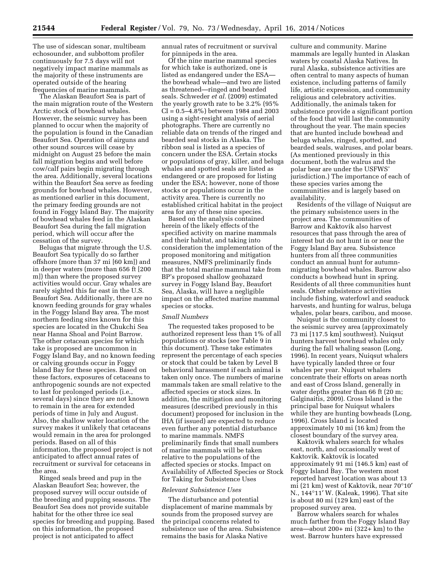The use of sidescan sonar, multibeam echosounder, and subbottom profiler continuously for 7.5 days will not negatively impact marine mammals as the majority of these instruments are operated outside of the hearing frequencies of marine mammals.

The Alaskan Beaufort Sea is part of the main migration route of the Western Arctic stock of bowhead whales. However, the seismic survey has been planned to occur when the majority of the population is found in the Canadian Beaufort Sea. Operation of airguns and other sound sources will cease by midnight on August 25 before the main fall migration begins and well before cow/calf pairs begin migrating through the area. Additionally, several locations within the Beaufort Sea serve as feeding grounds for bowhead whales. However, as mentioned earlier in this document, the primary feeding grounds are not found in Foggy Island Bay. The majority of bowhead whales feed in the Alaskan Beaufort Sea during the fall migration period, which will occur after the cessation of the survey.

Belugas that migrate through the U.S. Beaufort Sea typically do so farther offshore (more than 37 mi [60 km]) and in deeper waters (more than 656 ft [200 m]) than where the proposed survey activities would occur. Gray whales are rarely sighted this far east in the U.S. Beaufort Sea. Additionally, there are no known feeding grounds for gray whales in the Foggy Island Bay area. The most northern feeding sites known for this species are located in the Chukchi Sea near Hanna Shoal and Point Barrow. The other cetacean species for which take is proposed are uncommon in Foggy Island Bay, and no known feeding or calving grounds occur in Foggy Island Bay for these species. Based on these factors, exposures of cetaceans to anthropogenic sounds are not expected to last for prolonged periods (i.e., several days) since they are not known to remain in the area for extended periods of time in July and August. Also, the shallow water location of the survey makes it unlikely that cetaceans would remain in the area for prolonged periods. Based on all of this information, the proposed project is not anticipated to affect annual rates of recruitment or survival for cetaceans in the area.

Ringed seals breed and pup in the Alaskan Beaufort Sea; however, the proposed survey will occur outside of the breeding and pupping seasons. The Beaufort Sea does not provide suitable habitat for the other three ice seal species for breeding and pupping. Based on this information, the proposed project is not anticipated to affect

annual rates of recruitment or survival for pinnipeds in the area.

Of the nine marine mammal species for which take is authorized, one is listed as endangered under the ESA the bowhead whale—and two are listed as threatened—ringed and bearded seals. Schweder *et al.* (2009) estimated the yearly growth rate to be 3.2% (95%  $CI = 0.5 - 4.8\%$ ) between 1984 and 2003 using a sight-resight analysis of aerial photographs. There are currently no reliable data on trends of the ringed and bearded seal stocks in Alaska. The ribbon seal is listed as a species of concern under the ESA. Certain stocks or populations of gray, killer, and beluga whales and spotted seals are listed as endangered or are proposed for listing under the ESA; however, none of those stocks or populations occur in the activity area. There is currently no established critical habitat in the project area for any of these nine species.

Based on the analysis contained herein of the likely effects of the specified activity on marine mammals and their habitat, and taking into consideration the implementation of the proposed monitoring and mitigation measures, NMFS preliminarily finds that the total marine mammal take from BP's proposed shallow geohazard survey in Foggy Island Bay, Beaufort Sea, Alaska, will have a negligible impact on the affected marine mammal species or stocks.

#### *Small Numbers*

The requested takes proposed to be authorized represent less than 1% of all populations or stocks (see Table 9 in this document). These take estimates represent the percentage of each species or stock that could be taken by Level B behavioral harassment if each animal is taken only once. The numbers of marine mammals taken are small relative to the affected species or stock sizes. In addition, the mitigation and monitoring measures (described previously in this document) proposed for inclusion in the IHA (if issued) are expected to reduce even further any potential disturbance to marine mammals. NMFS preliminarily finds that small numbers of marine mammals will be taken relative to the populations of the affected species or stocks. Impact on Availability of Affected Species or Stock for Taking for Subsistence Uses

#### *Relevant Subsistence Uses*

The disturbance and potential displacement of marine mammals by sounds from the proposed survey are the principal concerns related to subsistence use of the area. Subsistence remains the basis for Alaska Native

culture and community. Marine mammals are legally hunted in Alaskan waters by coastal Alaska Natives. In rural Alaska, subsistence activities are often central to many aspects of human existence, including patterns of family life, artistic expression, and community religious and celebratory activities. Additionally, the animals taken for subsistence provide a significant portion of the food that will last the community throughout the year. The main species that are hunted include bowhead and beluga whales, ringed, spotted, and bearded seals, walruses, and polar bears. (As mentioned previously in this document, both the walrus and the polar bear are under the USFWS' jurisdiction.) The importance of each of these species varies among the communities and is largely based on availability.

Residents of the village of Nuiqsut are the primary subsistence users in the project area. The communities of Barrow and Kaktovik also harvest resources that pass through the area of interest but do not hunt in or near the Foggy Island Bay area. Subsistence hunters from all three communities conduct an annual hunt for autumnmigrating bowhead whales. Barrow also conducts a bowhead hunt in spring. Residents of all three communities hunt seals. Other subsistence activities include fishing, waterfowl and seaduck harvests, and hunting for walrus, beluga whales, polar bears, caribou, and moose.

Nuiqsut is the community closest to the seismic survey area (approximately 73 mi [117.5 km] southwest). Nuiqsut hunters harvest bowhead whales only during the fall whaling season (Long, 1996). In recent years, Nuiqsut whalers have typically landed three or four whales per year. Nuiqsut whalers concentrate their efforts on areas north and east of Cross Island, generally in water depths greater than 66 ft (20 m; Galginaitis, 2009). Cross Island is the principal base for Nuiqsut whalers while they are hunting bowheads (Long, 1996). Cross Island is located approximately 10 mi (16 km) from the closest boundary of the survey area.

Kaktovik whalers search for whales east, north, and occasionally west of Kaktovik. Kaktovik is located approximately 91 mi (146.5 km) east of Foggy Island Bay. The western most reported harvest location was about 13 mi (21 km) west of Kaktovik, near 70°10′ N., 144°11′ W. (Kaleak, 1996). That site is about 80 mi (129 km) east of the proposed survey area.

Barrow whalers search for whales much farther from the Foggy Island Bay area—about 200+ mi (322+ km) to the west. Barrow hunters have expressed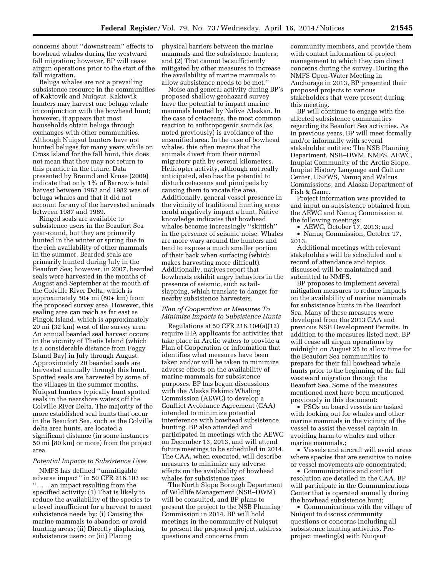concerns about ''downstream'' effects to bowhead whales during the westward fall migration; however, BP will cease airgun operations prior to the start of the fall migration.

Beluga whales are not a prevailing subsistence resource in the communities of Kaktovik and Nuiqsut. Kaktovik hunters may harvest one beluga whale in conjunction with the bowhead hunt; however, it appears that most households obtain beluga through exchanges with other communities. Although Nuiqsut hunters have not hunted belugas for many years while on Cross Island for the fall hunt, this does not mean that they may not return to this practice in the future. Data presented by Braund and Kruse (2009) indicate that only 1% of Barrow's total harvest between 1962 and 1982 was of beluga whales and that it did not account for any of the harvested animals between 1987 and 1989.

Ringed seals are available to subsistence users in the Beaufort Sea year-round, but they are primarily hunted in the winter or spring due to the rich availability of other mammals in the summer. Bearded seals are primarily hunted during July in the Beaufort Sea; however, in 2007, bearded seals were harvested in the months of August and September at the mouth of the Colville River Delta, which is approximately 50+ mi (80+ km) from the proposed survey area. However, this sealing area can reach as far east as Pingok Island, which is approximately 20 mi (32 km) west of the survey area. An annual bearded seal harvest occurs in the vicinity of Thetis Island (which is a considerable distance from Foggy Island Bay) in July through August. Approximately 20 bearded seals are harvested annually through this hunt. Spotted seals are harvested by some of the villages in the summer months. Nuiqsut hunters typically hunt spotted seals in the nearshore waters off the Colville River Delta. The majority of the more established seal hunts that occur in the Beaufort Sea, such as the Colville delta area hunts, are located a significant distance (in some instances 50 mi [80 km] or more) from the project area.

# *Potential Impacts to Subsistence Uses*

NMFS has defined ''unmitigable adverse impact'' in 50 CFR 216.103 as: ''. . . an impact resulting from the specified activity: (1) That is likely to reduce the availability of the species to a level insufficient for a harvest to meet subsistence needs by: (i) Causing the marine mammals to abandon or avoid hunting areas; (ii) Directly displacing subsistence users; or (iii) Placing

physical barriers between the marine mammals and the subsistence hunters; and (2) That cannot be sufficiently mitigated by other measures to increase the availability of marine mammals to allow subsistence needs to be met.''

Noise and general activity during BP's proposed shallow geohazard survey have the potential to impact marine mammals hunted by Native Alaskan. In the case of cetaceans, the most common reaction to anthropogenic sounds (as noted previously) is avoidance of the ensonified area. In the case of bowhead whales, this often means that the animals divert from their normal migratory path by several kilometers. Helicopter activity, although not really anticipated, also has the potential to disturb cetaceans and pinnipeds by causing them to vacate the area. Additionally, general vessel presence in the vicinity of traditional hunting areas could negatively impact a hunt. Native knowledge indicates that bowhead whales become increasingly ''skittish'' in the presence of seismic noise. Whales are more wary around the hunters and tend to expose a much smaller portion of their back when surfacing (which makes harvesting more difficult). Additionally, natives report that bowheads exhibit angry behaviors in the presence of seismic, such as tailslapping, which translate to danger for nearby subsistence harvesters.

# *Plan of Cooperation or Measures To Minimize Impacts to Subsistence Hunts*

Regulations at 50 CFR 216.104(a)(12) require IHA applicants for activities that take place in Arctic waters to provide a Plan of Cooperation or information that identifies what measures have been taken and/or will be taken to minimize adverse effects on the availability of marine mammals for subsistence purposes. BP has begun discussions with the Alaska Eskimo Whaling Commission (AEWC) to develop a Conflict Avoidance Agreement (CAA) intended to minimize potential interference with bowhead subsistence hunting. BP also attended and participated in meetings with the AEWC on December 13, 2013, and will attend future meetings to be scheduled in 2014. The CAA, when executed, will describe measures to minimize any adverse effects on the availability of bowhead whales for subsistence uses.

The North Slope Borough Department of Wildlife Management (NSB–DWM) will be consulted, and BP plans to present the project to the NSB Planning Commission in 2014. BP will hold meetings in the community of Nuiqsut to present the proposed project, address questions and concerns from

community members, and provide them with contact information of project management to which they can direct concerns during the survey. During the NMFS Open-Water Meeting in Anchorage in 2013, BP presented their proposed projects to various stakeholders that were present during this meeting.

BP will continue to engage with the affected subsistence communities regarding its Beaufort Sea activities. As in previous years, BP will meet formally and/or informally with several stakeholder entities: The NSB Planning Department, NSB–DWM, NMFS, AEWC, Inupiat Community of the Arctic Slope, Inupiat History Language and Culture Center, USFWS, Nanuq and Walrus Commissions, and Alaska Department of Fish & Game.

Project information was provided to and input on subsistence obtained from the AEWC and Nanuq Commission at the following meetings:

• AEWC, October 17, 2013; and

• Nanuq Commission, October 17, 2013.

Additional meetings with relevant stakeholders will be scheduled and a record of attendance and topics discussed will be maintained and submitted to NMFS.

BP proposes to implement several mitigation measures to reduce impacts on the availability of marine mammals for subsistence hunts in the Beaufort Sea. Many of these measures were developed from the 2013 CAA and previous NSB Development Permits. In addition to the measures listed next, BP will cease all airgun operations by midnight on August 25 to allow time for the Beaufort Sea communities to prepare for their fall bowhead whale hunts prior to the beginning of the fall westward migration through the Beaufort Sea. Some of the measures mentioned next have been mentioned previously in this document:

• PSOs on board vessels are tasked with looking out for whales and other marine mammals in the vicinity of the vessel to assist the vessel captain in avoiding harm to whales and other marine mammals.;

• Vessels and aircraft will avoid areas where species that are sensitive to noise or vessel movements are concentrated;

• Communications and conflict resolution are detailed in the CAA. BP will participate in the Communications Center that is operated annually during the bowhead subsistence hunt;

• Communications with the village of Nuiqsut to discuss community questions or concerns including all subsistence hunting activities. Preproject meeting(s) with Nuiqsut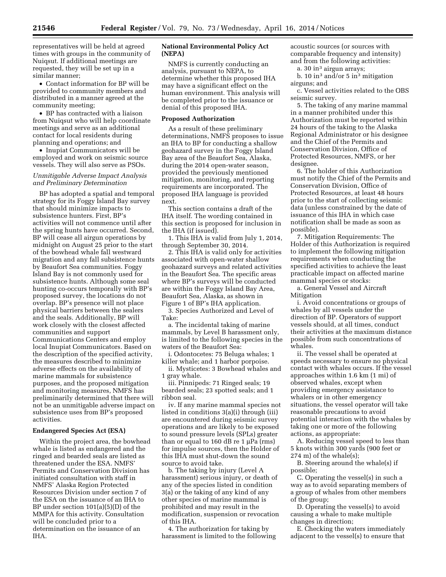representatives will be held at agreed times with groups in the community of Nuiqsut. If additional meetings are requested, they will be set up in a similar manner;

• Contact information for BP will be provided to community members and distributed in a manner agreed at the community meeting;

• BP has contracted with a liaison from Nuiqsut who will help coordinate meetings and serve as an additional contact for local residents during planning and operations; and

• Inupiat Communicators will be employed and work on seismic source vessels. They will also serve as PSOs.

# *Unmitigable Adverse Impact Analysis and Preliminary Determination*

BP has adopted a spatial and temporal strategy for its Foggy Island Bay survey that should minimize impacts to subsistence hunters. First, BP's activities will not commence until after the spring hunts have occurred. Second, BP will cease all airgun operations by midnight on August 25 prior to the start of the bowhead whale fall westward migration and any fall subsistence hunts by Beaufort Sea communities. Foggy Island Bay is not commonly used for subsistence hunts. Although some seal hunting co-occurs temporally with BP's proposed survey, the locations do not overlap. BP's presence will not place physical barriers between the sealers and the seals. Additionally, BP will work closely with the closest affected communities and support Communications Centers and employ local Inupiat Communicators. Based on the description of the specified activity, the measures described to minimize adverse effects on the availability of marine mammals for subsistence purposes, and the proposed mitigation and monitoring measures, NMFS has preliminarily determined that there will not be an unmitigable adverse impact on subsistence uses from BP's proposed activities.

# **Endangered Species Act (ESA)**

Within the project area, the bowhead whale is listed as endangered and the ringed and bearded seals are listed as threatened under the ESA. NMFS' Permits and Conservation Division has initiated consultation with staff in NMFS' Alaska Region Protected Resources Division under section 7 of the ESA on the issuance of an IHA to BP under section 101(a)(5)(D) of the MMPA for this activity. Consultation will be concluded prior to a determination on the issuance of an IHA.

# **National Environmental Policy Act (NEPA)**

NMFS is currently conducting an analysis, pursuant to NEPA, to determine whether this proposed IHA may have a significant effect on the human environment. This analysis will be completed prior to the issuance or denial of this proposed IHA.

#### **Proposed Authorization**

As a result of these preliminary determinations, NMFS proposes to issue an IHA to BP for conducting a shallow geohazard survey in the Foggy Island Bay area of the Beaufort Sea, Alaska, during the 2014 open-water season, provided the previously mentioned mitigation, monitoring, and reporting requirements are incorporated. The proposed IHA language is provided next.

This section contains a draft of the IHA itself. The wording contained in this section is proposed for inclusion in the IHA (if issued).

1. This IHA is valid from July 1, 2014, through September 30, 2014.

2. This IHA is valid only for activities associated with open-water shallow geohazard surveys and related activities in the Beaufort Sea. The specific areas where BP's surveys will be conducted are within the Foggy Island Bay Area, Beaufort Sea, Alaska, as shown in Figure 1 of BP's IHA application.

3. Species Authorized and Level of Take:

a. The incidental taking of marine mammals, by Level B harassment only, is limited to the following species in the waters of the Beaufort Sea:

i. Odontocetes: 75 Beluga whales; 1 killer whale; and 1 harbor porpoise.

ii. Mysticetes: 3 Bowhead whales and 1 gray whale.

iii. Pinnipeds: 71 Ringed seals; 19 bearded seals; 23 spotted seals; and 1 ribbon seal.

iv. If any marine mammal species not listed in conditions 3(a)(i) through (iii) are encountered during seismic survey operations and are likely to be exposed to sound pressure levels (SPLs) greater than or equal to 160 dB re 1  $\mu$ Pa (rms) for impulse sources, then the Holder of this IHA must shut-down the sound source to avoid take.

b. The taking by injury (Level A harassment) serious injury, or death of any of the species listed in condition 3(a) or the taking of any kind of any other species of marine mammal is prohibited and may result in the modification, suspension or revocation of this IHA.

4. The authorization for taking by harassment is limited to the following acoustic sources (or sources with comparable frequency and intensity) and from the following activities:

a. 30 in3 airgun arrays;

b. 10 in3 and/or 5 in3 mitigation airguns; and

c. Vessel activities related to the OBS seismic survey.

5. The taking of any marine mammal in a manner prohibited under this Authorization must be reported within 24 hours of the taking to the Alaska Regional Administrator or his designee and the Chief of the Permits and Conservation Division, Office of Protected Resources, NMFS, or her designee.

6. The holder of this Authorization must notify the Chief of the Permits and Conservation Division, Office of Protected Resources, at least 48 hours prior to the start of collecting seismic data (unless constrained by the date of issuance of this IHA in which case notification shall be made as soon as possible).

7. Mitigation Requirements: The Holder of this Authorization is required to implement the following mitigation requirements when conducting the specified activities to achieve the least practicable impact on affected marine mammal species or stocks:

a. General Vessel and Aircraft Mitigation

i. Avoid concentrations or groups of whales by all vessels under the direction of BP. Operators of support vessels should, at all times, conduct their activities at the maximum distance possible from such concentrations of whales.

ii. The vessel shall be operated at speeds necessary to ensure no physical contact with whales occurs. If the vessel approaches within 1.6 km (1 mi) of observed whales, except when providing emergency assistance to whalers or in other emergency situations, the vessel operator will take reasonable precautions to avoid potential interaction with the whales by taking one or more of the following actions, as appropriate:

A. Reducing vessel speed to less than 5 knots within 300 yards (900 feet or 274 m) of the whale(s);

B. Steering around the whale(s) if possible;

C. Operating the vessel(s) in such a way as to avoid separating members of a group of whales from other members of the group;

D. Operating the vessel(s) to avoid causing a whale to make multiple changes in direction;

E. Checking the waters immediately adjacent to the vessel(s) to ensure that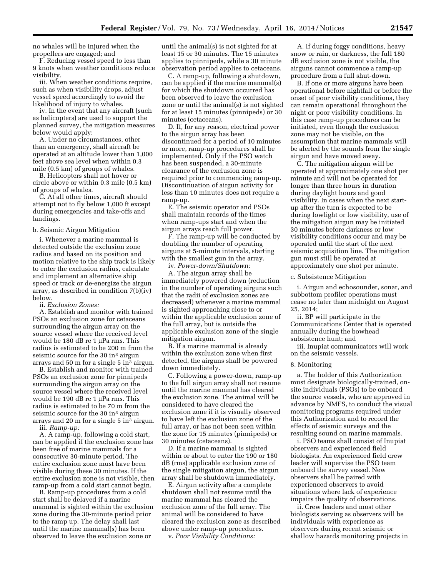no whales will be injured when the propellers are engaged; and

F. Reducing vessel speed to less than 9 knots when weather conditions reduce visibility.

iii. When weather conditions require, such as when visibility drops, adjust vessel speed accordingly to avoid the likelihood of injury to whales.

iv. In the event that any aircraft (such as helicopters) are used to support the planned survey, the mitigation measures below would apply:

A. Under no circumstances, other than an emergency, shall aircraft be operated at an altitude lower than 1,000 feet above sea level when within 0.3 mile (0.5 km) of groups of whales.

B. Helicopters shall not hover or circle above or within 0.3 mile (0.5 km) of groups of whales.

C. At all other times, aircraft should attempt not to fly below 1,000 ft except during emergencies and take-offs and landings.

#### b. Seismic Airgun Mitigation

i. Whenever a marine mammal is detected outside the exclusion zone radius and based on its position and motion relative to the ship track is likely to enter the exclusion radius, calculate and implement an alternative ship speed or track or de-energize the airgun array, as described in condition 7(b)(iv) below.

ii. *Exclusion Zones:* 

A. Establish and monitor with trained PSOs an exclusion zone for cetaceans surrounding the airgun array on the source vessel where the received level would be 180 dB re 1  $\mu$ Pa rms. This radius is estimated to be 200 m from the seismic source for the 30 in<sup>3</sup> airgun arrays and 50 m for a single 5 in3 airgun.

B. Establish and monitor with trained PSOs an exclusion zone for pinnipeds surrounding the airgun array on the source vessel where the received level would be 190 dB re 1 µPa rms. This radius is estimated to be 70 m from the seismic source for the 30 in<sup>3</sup> airgun arrays and 20 m for a single 5 in<sup>3</sup> airgun. iii. *Ramp-up:* 

A. A ramp-up, following a cold start, can be applied if the exclusion zone has been free of marine mammals for a consecutive 30-minute period. The entire exclusion zone must have been visible during these 30 minutes. If the entire exclusion zone is not visible, then ramp-up from a cold start cannot begin.

B. Ramp-up procedures from a cold start shall be delayed if a marine mammal is sighted within the exclusion zone during the 30-minute period prior to the ramp up. The delay shall last until the marine mammal(s) has been observed to leave the exclusion zone or

until the animal(s) is not sighted for at least 15 or 30 minutes. The 15 minutes applies to pinnipeds, while a 30 minute observation period applies to cetaceans.

C. A ramp-up, following a shutdown, can be applied if the marine mammal(s) for which the shutdown occurred has been observed to leave the exclusion zone or until the animal(s) is not sighted for at least 15 minutes (pinnipeds) or 30 minutes (cetaceans).

D. If, for any reason, electrical power to the airgun array has been discontinued for a period of 10 minutes or more, ramp-up procedures shall be implemented. Only if the PSO watch has been suspended, a 30-minute clearance of the exclusion zone is required prior to commencing ramp-up. Discontinuation of airgun activity for less than 10 minutes does not require a ramp-up.

E. The seismic operator and PSOs shall maintain records of the times when ramp-ups start and when the airgun arrays reach full power.

F. The ramp-up will be conducted by doubling the number of operating airguns at 5-minute intervals, starting with the smallest gun in the array.

iv. *Power-down/Shutdown:* 

A. The airgun array shall be immediately powered down (reduction in the number of operating airguns such that the radii of exclusion zones are decreased) whenever a marine mammal is sighted approaching close to or within the applicable exclusion zone of the full array, but is outside the applicable exclusion zone of the single mitigation airgun.

B. If a marine mammal is already within the exclusion zone when first detected, the airguns shall be powered down immediately.

C. Following a power-down, ramp-up to the full airgun array shall not resume until the marine mammal has cleared the exclusion zone. The animal will be considered to have cleared the exclusion zone if it is visually observed to have left the exclusion zone of the full array, or has not been seen within the zone for 15 minutes (pinnipeds) or 30 minutes (cetaceans).

D. If a marine mammal is sighted within or about to enter the 190 or 180 dB (rms) applicable exclusion zone of the single mitigation airgun, the airgun array shall be shutdown immediately.

E. Airgun activity after a complete shutdown shall not resume until the marine mammal has cleared the exclusion zone of the full array. The animal will be considered to have cleared the exclusion zone as described above under ramp-up procedures.

v. *Poor Visibility Conditions:* 

A. If during foggy conditions, heavy snow or rain, or darkness, the full 180 dB exclusion zone is not visible, the airguns cannot commence a ramp-up procedure from a full shut-down.

B. If one or more airguns have been operational before nightfall or before the onset of poor visibility conditions, they can remain operational throughout the night or poor visibility conditions. In this case ramp-up procedures can be initiated, even though the exclusion zone may not be visible, on the assumption that marine mammals will be alerted by the sounds from the single airgun and have moved away.

C. The mitigation airgun will be operated at approximately one shot per minute and will not be operated for longer than three hours in duration during daylight hours and good visibility. In cases when the next startup after the turn is expected to be during lowlight or low visibility, use of the mitigation airgun may be initiated 30 minutes before darkness or low visibility conditions occur and may be operated until the start of the next seismic acquisition line. The mitigation gun must still be operated at approximately one shot per minute.

#### c. Subsistence Mitigation

i. Airgun and echosounder, sonar, and subbottom profiler operations must cease no later than midnight on August 25, 2014;

ii. BP will participate in the Communications Center that is operated annually during the bowhead subsistence hunt; and

iii. Inupiat communicators will work on the seismic vessels.

#### 8. Monitoring

a. The holder of this Authorization must designate biologically-trained, onsite individuals (PSOs) to be onboard the source vessels, who are approved in advance by NMFS, to conduct the visual monitoring programs required under this Authorization and to record the effects of seismic surveys and the resulting sound on marine mammals.

i. PSO teams shall consist of Inupiat observers and experienced field biologists. An experienced field crew leader will supervise the PSO team onboard the survey vessel. New observers shall be paired with experienced observers to avoid situations where lack of experience impairs the quality of observations.

ii. Crew leaders and most other biologists serving as observers will be individuals with experience as observers during recent seismic or shallow hazards monitoring projects in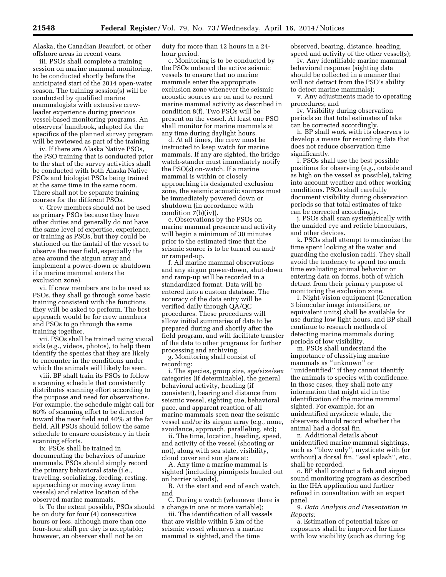Alaska, the Canadian Beaufort, or other offshore areas in recent years.

iii. PSOs shall complete a training session on marine mammal monitoring, to be conducted shortly before the anticipated start of the 2014 open-water season. The training session(s) will be conducted by qualified marine mammalogists with extensive crewleader experience during previous vessel-based monitoring programs. An observers' handbook, adapted for the specifics of the planned survey program will be reviewed as part of the training.

iv. If there are Alaska Native PSOs, the PSO training that is conducted prior to the start of the survey activities shall be conducted with both Alaska Native PSOs and biologist PSOs being trained at the same time in the same room. There shall not be separate training courses for the different PSOs.

v. Crew members should not be used as primary PSOs because they have other duties and generally do not have the same level of expertise, experience, or training as PSOs, but they could be stationed on the fantail of the vessel to observe the near field, especially the area around the airgun array and implement a power-down or shutdown if a marine mammal enters the exclusion zone).

vi. If crew members are to be used as PSOs, they shall go through some basic training consistent with the functions they will be asked to perform. The best approach would be for crew members and PSOs to go through the same training together.

vii. PSOs shall be trained using visual aids (e.g., videos, photos), to help them identify the species that they are likely to encounter in the conditions under which the animals will likely be seen.

viii. BP shall train its PSOs to follow a scanning schedule that consistently distributes scanning effort according to the purpose and need for observations. For example, the schedule might call for 60% of scanning effort to be directed toward the near field and 40% at the far field. All PSOs should follow the same schedule to ensure consistency in their scanning efforts.

ix. PSOs shall be trained in documenting the behaviors of marine mammals. PSOs should simply record the primary behavioral state (i.e., traveling, socializing, feeding, resting, approaching or moving away from vessels) and relative location of the observed marine mammals.

b. To the extent possible, PSOs should be on duty for four (4) consecutive hours or less, although more than one four-hour shift per day is acceptable; however, an observer shall not be on

duty for more than 12 hours in a 24 hour period.

c. Monitoring is to be conducted by the PSOs onboard the active seismic vessels to ensure that no marine mammals enter the appropriate exclusion zone whenever the seismic acoustic sources are on and to record marine mammal activity as described in condition 8(f). Two PSOs will be present on the vessel. At least one PSO shall monitor for marine mammals at any time during daylight hours.

d. At all times, the crew must be instructed to keep watch for marine mammals. If any are sighted, the bridge watch-stander must immediately notify the PSO(s) on-watch. If a marine mammal is within or closely approaching its designated exclusion zone, the seismic acoustic sources must be immediately powered down or shutdown (in accordance with condition 7(b)(iv)).

e. Observations by the PSOs on marine mammal presence and activity will begin a minimum of 30 minutes prior to the estimated time that the seismic source is to be turned on and/ or ramped-up.

f. All marine mammal observations and any airgun power-down, shut-down and ramp-up will be recorded in a standardized format. Data will be entered into a custom database. The accuracy of the data entry will be verified daily through QA/QC procedures. These procedures will allow initial summaries of data to be prepared during and shortly after the field program, and will facilitate transfer of the data to other programs for further processing and archiving.

g. Monitoring shall consist of recording:

i. The species, group size, age/size/sex categories (if determinable), the general behavioral activity, heading (if consistent), bearing and distance from seismic vessel, sighting cue, behavioral pace, and apparent reaction of all marine mammals seen near the seismic vessel and/or its airgun array (e.g., none, avoidance, approach, paralleling, etc);

ii. The time, location, heading, speed, and activity of the vessel (shooting or not), along with sea state, visibility, cloud cover and sun glare at:

A. Any time a marine mammal is sighted (including pinnipeds hauled out on barrier islands),

B. At the start and end of each watch, and

C. During a watch (whenever there is a change in one or more variable);

iii. The identification of all vessels that are visible within 5 km of the seismic vessel whenever a marine mammal is sighted, and the time

observed, bearing, distance, heading, speed and activity of the other vessel(s);

iv. Any identifiable marine mammal behavioral response (sighting data should be collected in a manner that will not detract from the PSO's ability to detect marine mammals);

v. Any adjustments made to operating procedures; and

iv. Visibility during observation periods so that total estimates of take can be corrected accordingly.

h. BP shall work with its observers to develop a means for recording data that does not reduce observation time significantly.

i. PSOs shall use the best possible positions for observing (e.g., outside and as high on the vessel as possible), taking into account weather and other working conditions. PSOs shall carefully document visibility during observation periods so that total estimates of take can be corrected accordingly.

j. PSOs shall scan systematically with the unaided eye and reticle binoculars, and other devices.

k. PSOs shall attempt to maximize the time spent looking at the water and guarding the exclusion radii. They shall avoid the tendency to spend too much time evaluating animal behavior or entering data on forms, both of which detract from their primary purpose of monitoring the exclusion zone.

l. Night-vision equipment (Generation 3 binocular image intensifiers, or equivalent units) shall be available for use during low light hours, and BP shall continue to research methods of detecting marine mammals during periods of low visibility.

m. PSOs shall understand the importance of classifying marine mammals as ''unknown'' or ''unidentified'' if they cannot identify the animals to species with confidence. In those cases, they shall note any information that might aid in the identification of the marine mammal sighted. For example, for an unidentified mysticete whale, the observers should record whether the animal had a dorsal fin.

n. Additional details about unidentified marine mammal sightings, such as ''blow only'', mysticete with (or without) a dorsal fin, ''seal splash'', etc., shall be recorded.

o. BP shall conduct a fish and airgun sound monitoring program as described in the IHA application and further refined in consultation with an expert panel.

# 9. *Data Analysis and Presentation in Reports:*

a. Estimation of potential takes or exposures shall be improved for times with low visibility (such as during fog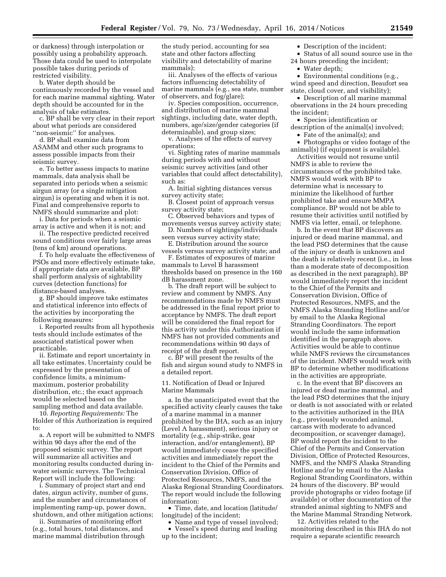or darkness) through interpolation or possibly using a probability approach. Those data could be used to interpolate possible takes during periods of restricted visibility.

b. Water depth should be continuously recorded by the vessel and for each marine mammal sighting. Water depth should be accounted for in the analysis of take estimates.

c. BP shall be very clear in their report about what periods are considered ''non-seismic'' for analyses.

d. BP shall examine data from ASAMM and other such programs to assess possible impacts from their seismic survey.

e. To better assess impacts to marine mammals, data analysis shall be separated into periods when a seismic airgun array (or a single mitigation airgun) is operating and when it is not. Final and comprehensive reports to NMFS should summarize and plot:

i. Data for periods when a seismic array is active and when it is not; and

ii. The respective predicted received sound conditions over fairly large areas (tens of km) around operations.

f. To help evaluate the effectiveness of PSOs and more effectively estimate take, if appropriate data are available, BP shall perform analysis of sightability curves (detection functions) for distance-based analyses.

g. BP should improve take estimates and statistical inference into effects of the activities by incorporating the following measures:

i. Reported results from all hypothesis tests should include estimates of the associated statistical power when practicable.

ii. Estimate and report uncertainty in all take estimates. Uncertainty could be expressed by the presentation of confidence limits, a minimummaximum, posterior probability distribution, etc.; the exact approach would be selected based on the sampling method and data available.

10. *Reporting Requirements:* The Holder of this Authorization is required to:

a. A report will be submitted to NMFS within 90 days after the end of the proposed seismic survey. The report will summarize all activities and monitoring results conducted during inwater seismic surveys. The Technical Report will include the following:

i. Summary of project start and end dates, airgun activity, number of guns, and the number and circumstances of implementing ramp-up, power down, shutdown, and other mitigation actions;

ii. Summaries of monitoring effort (e.g., total hours, total distances, and marine mammal distribution through

the study period, accounting for sea state and other factors affecting visibility and detectability of marine mammals);

iii. Analyses of the effects of various factors influencing detectability of marine mammals (e.g., sea state, number of observers, and fog/glare);

iv. Species composition, occurrence, and distribution of marine mammal sightings, including date, water depth, numbers, age/size/gender categories (if determinable), and group sizes;

v. Analyses of the effects of survey operations;

vi. Sighting rates of marine mammals during periods with and without seismic survey activities (and other variables that could affect detectability), such as:

A. Initial sighting distances versus survey activity state;

B. Closest point of approach versus survey activity state;

C. Observed behaviors and types of movements versus survey activity state;

D. Numbers of sightings/individuals seen versus survey activity state;

E. Distribution around the source vessels versus survey activity state; and

F. Estimates of exposures of marine mammals to Level B harassment thresholds based on presence in the 160 dB harassment zone.

b. The draft report will be subject to review and comment by NMFS. Any recommendations made by NMFS must be addressed in the final report prior to acceptance by NMFS. The draft report will be considered the final report for this activity under this Authorization if NMFS has not provided comments and recommendations within 90 days of receipt of the draft report.

c. BP will present the results of the fish and airgun sound study to NMFS in a detailed report.

11. Notification of Dead or Injured Marine Mammals

a. In the unanticipated event that the specified activity clearly causes the take of a marine mammal in a manner prohibited by the IHA, such as an injury (Level A harassment), serious injury or mortality (e.g., ship-strike, gear interaction, and/or entanglement), BP would immediately cease the specified activities and immediately report the incident to the Chief of the Permits and Conservation Division, Office of Protected Resources, NMFS, and the Alaska Regional Stranding Coordinators. The report would include the following information:

• Time, date, and location (latitude/ longitude) of the incident;

• Name and type of vessel involved; • Vessel's speed during and leading up to the incident;

• Description of the incident;

• Status of all sound source use in the 24 hours preceding the incident;

• Water depth;

• Environmental conditions (e.g., wind speed and direction, Beaufort sea state, cloud cover, and visibility);

• Description of all marine mammal observations in the 24 hours preceding the incident;

• Species identification or description of the animal(s) involved;

• Fate of the animal(s); and

• Photographs or video footage of the animal(s) (if equipment is available).

Activities would not resume until NMFS is able to review the circumstances of the prohibited take. NMFS would work with BP to determine what is necessary to minimize the likelihood of further prohibited take and ensure MMPA compliance. BP would not be able to resume their activities until notified by NMFS via letter, email, or telephone.

b. In the event that BP discovers an injured or dead marine mammal, and the lead PSO determines that the cause of the injury or death is unknown and the death is relatively recent (i.e., in less than a moderate state of decomposition as described in the next paragraph), BP would immediately report the incident to the Chief of the Permits and Conservation Division, Office of Protected Resources, NMFS, and the NMFS Alaska Stranding Hotline and/or by email to the Alaska Regional Stranding Coordinators. The report would include the same information identified in the paragraph above. Activities would be able to continue while NMFS reviews the circumstances of the incident. NMFS would work with BP to determine whether modifications in the activities are appropriate.

c. In the event that BP discovers an injured or dead marine mammal, and the lead PSO determines that the injury or death is not associated with or related to the activities authorized in the IHA (e.g., previously wounded animal, carcass with moderate to advanced decomposition, or scavenger damage), BP would report the incident to the Chief of the Permits and Conservation Division, Office of Protected Resources, NMFS, and the NMFS Alaska Stranding Hotline and/or by email to the Alaska Regional Stranding Coordinators, within 24 hours of the discovery. BP would provide photographs or video footage (if available) or other documentation of the stranded animal sighting to NMFS and the Marine Mammal Stranding Network.

12. Activities related to the monitoring described in this IHA do not require a separate scientific research